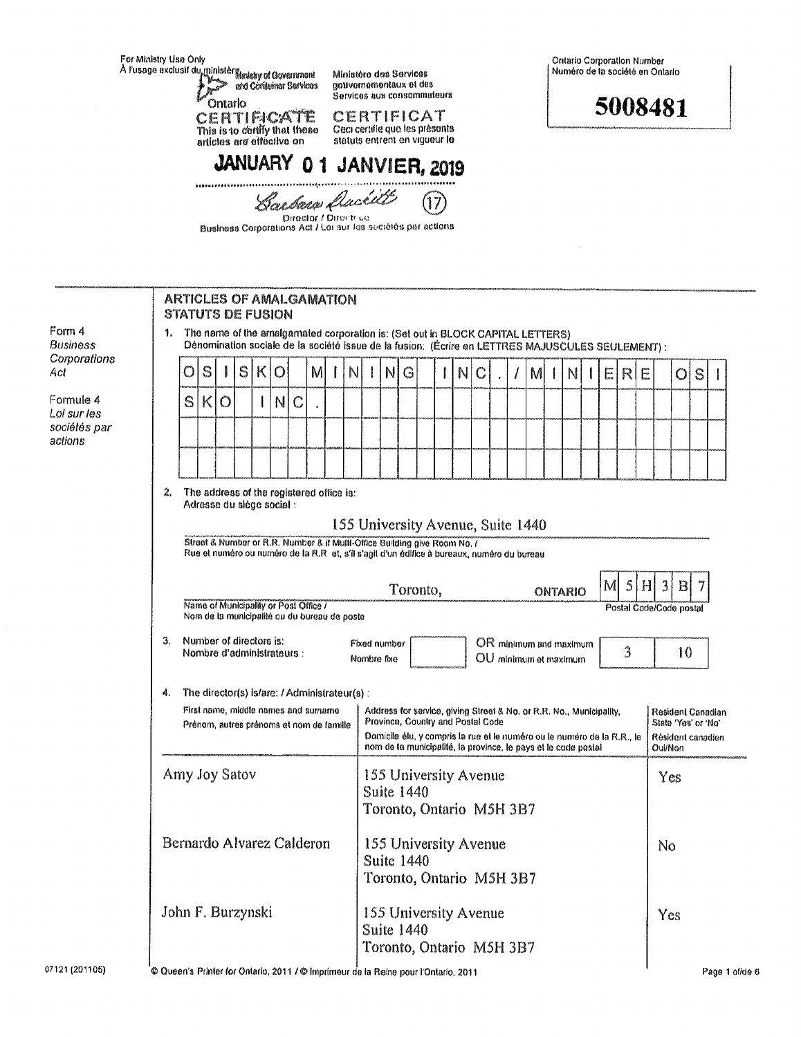|                                    | For Ministry Use Only<br>A l'usage exclusif du ministère Marisby of Government<br>and Consumer Services<br>Ontarlo<br>CERTIFICATE<br>This is to certify that these<br>artícles are effective on                       |                                                                                                                                                                                                                                                                                                                                                                                                  |   |              |                                                              |   | Ministère des Services<br>nouvernementaux et des                                                            |         |                                         |   |                                                                        |   |                                                                 |                                                                          | Ontario Corporation Number<br>Numéro de la société en Ontario          |  |  |   |  |  |     |    |  |   |  |   |   |   |  |         |   |  |  |
|------------------------------------|-----------------------------------------------------------------------------------------------------------------------------------------------------------------------------------------------------------------------|--------------------------------------------------------------------------------------------------------------------------------------------------------------------------------------------------------------------------------------------------------------------------------------------------------------------------------------------------------------------------------------------------|---|--------------|--------------------------------------------------------------|---|-------------------------------------------------------------------------------------------------------------|---------|-----------------------------------------|---|------------------------------------------------------------------------|---|-----------------------------------------------------------------|--------------------------------------------------------------------------|------------------------------------------------------------------------|--|--|---|--|--|-----|----|--|---|--|---|---|---|--|---------|---|--|--|
|                                    |                                                                                                                                                                                                                       |                                                                                                                                                                                                                                                                                                                                                                                                  |   |              |                                                              |   | Services aux consommateurs<br>CERTIFICAT<br>Geci certifie que les présents<br>statuts entrent en vigueur le |         |                                         |   |                                                                        |   | 5008481                                                         |                                                                          |                                                                        |  |  |   |  |  |     |    |  |   |  |   |   |   |  |         |   |  |  |
|                                    | JANUARY 01 JANVIER, 2019                                                                                                                                                                                              |                                                                                                                                                                                                                                                                                                                                                                                                  |   |              |                                                              |   |                                                                                                             |         |                                         |   |                                                                        |   |                                                                 |                                                                          |                                                                        |  |  |   |  |  |     |    |  |   |  |   |   |   |  |         |   |  |  |
|                                    |                                                                                                                                                                                                                       |                                                                                                                                                                                                                                                                                                                                                                                                  |   |              | Business Corporations Act / Loi sur les sociétés par actions |   |                                                                                                             |         | Barbara Ducill<br>Director / Directrica |   |                                                                        |   |                                                                 |                                                                          |                                                                        |  |  |   |  |  |     |    |  |   |  |   |   |   |  |         |   |  |  |
|                                    |                                                                                                                                                                                                                       |                                                                                                                                                                                                                                                                                                                                                                                                  |   |              | <b>ARTICLES OF AMALGAMATION</b>                              |   |                                                                                                             |         |                                         |   |                                                                        |   |                                                                 |                                                                          |                                                                        |  |  |   |  |  |     |    |  |   |  |   |   |   |  |         |   |  |  |
| Form 4<br>Business<br>Corporations | <b>STATUTS DE FUSION</b><br>The name of the amalgamated corporation is: (Set out in BLOCK CAPITAL LETTERS)<br>1.<br>Dénomination sociale de la société issue de la fusion: (Écrire en LETTRES MAJUSCULES SEULEMENT) : |                                                                                                                                                                                                                                                                                                                                                                                                  |   |              |                                                              |   |                                                                                                             |         |                                         |   |                                                                        |   |                                                                 |                                                                          |                                                                        |  |  |   |  |  |     |    |  |   |  |   |   |   |  |         |   |  |  |
| Act                                |                                                                                                                                                                                                                       |                                                                                                                                                                                                                                                                                                                                                                                                  | O | S            |                                                              | S | K                                                                                                           | $\circ$ |                                         | M |                                                                        | N |                                                                 | NI                                                                       | G                                                                      |  |  | N |  |  | 1   | M  |  | N |  | E | R | E |  | $\circ$ | S |  |  |
| Formule 4<br>Loi sur les           |                                                                                                                                                                                                                       |                                                                                                                                                                                                                                                                                                                                                                                                  | S | $\mathsf{K}$ | $\circ$                                                      |   |                                                                                                             | N       | $\mathbb{C}$                            |   |                                                                        |   |                                                                 |                                                                          |                                                                        |  |  |   |  |  |     |    |  |   |  |   |   |   |  |         |   |  |  |
| sociétés par<br>actions            |                                                                                                                                                                                                                       |                                                                                                                                                                                                                                                                                                                                                                                                  |   |              |                                                              |   |                                                                                                             |         |                                         |   |                                                                        |   |                                                                 |                                                                          |                                                                        |  |  |   |  |  |     |    |  |   |  |   |   |   |  |         |   |  |  |
|                                    |                                                                                                                                                                                                                       |                                                                                                                                                                                                                                                                                                                                                                                                  |   |              |                                                              |   |                                                                                                             |         |                                         |   |                                                                        |   |                                                                 |                                                                          |                                                                        |  |  |   |  |  |     |    |  |   |  |   |   |   |  |         |   |  |  |
|                                    |                                                                                                                                                                                                                       | 2.<br>The address of the registered office is:<br>Adresse du siège social :<br>155 University Avenue, Suite 1440<br>Street & Number or R.R. Number & if Multi-Office Building give Room No. /<br>Rue et numéro ou numéro de la R.R. et, s'il s'agit d'un édifice à bureaux, numéro du bureau<br>$\mathbb S$<br>H<br>$\vert 3 \vert$<br> B <br>7<br>M                                             |   |              |                                                              |   |                                                                                                             |         |                                         |   |                                                                        |   |                                                                 |                                                                          |                                                                        |  |  |   |  |  |     |    |  |   |  |   |   |   |  |         |   |  |  |
|                                    |                                                                                                                                                                                                                       | Toronto,<br>ONTARIO<br>Name of Municipality or Post Office /<br>Nom de la municipalité ou du bureau de poste                                                                                                                                                                                                                                                                                     |   |              |                                                              |   |                                                                                                             |         |                                         |   |                                                                        |   |                                                                 | Postal Code/Code postal                                                  |                                                                        |  |  |   |  |  |     |    |  |   |  |   |   |   |  |         |   |  |  |
|                                    |                                                                                                                                                                                                                       | Number of directors is:<br>З.<br>Fixed number<br>OR minimum and maximum<br>3<br>Nombre d'administrateurs :<br>OU minimum et maximum<br>Nombre fixe                                                                                                                                                                                                                                               |   |              |                                                              |   |                                                                                                             |         |                                         |   |                                                                        |   | 10                                                              |                                                                          |                                                                        |  |  |   |  |  |     |    |  |   |  |   |   |   |  |         |   |  |  |
|                                    |                                                                                                                                                                                                                       | The director(s) is/are: / Administrateur(s) :<br>4.<br>First name, middle names and surname<br>Address for service, giving Street & No. or R.R. No., Municipality,<br>Province, Country and Postal Code<br>Prénom, autres prénoms et nom de famille<br>Domicile élu, y compris la rue et le numéro ou le numéro de la R.R., le<br>nom de la municipalité, la province, le pays et le code postal |   |              |                                                              |   |                                                                                                             |         |                                         |   |                                                                        |   |                                                                 | Resident Canadian<br>State 'Yes' or 'No'<br>Résident canadien<br>Oui/Non |                                                                        |  |  |   |  |  |     |    |  |   |  |   |   |   |  |         |   |  |  |
|                                    |                                                                                                                                                                                                                       | Amy Joy Satov                                                                                                                                                                                                                                                                                                                                                                                    |   |              |                                                              |   |                                                                                                             |         |                                         |   | 155 University Avenue<br><b>Suite 1440</b><br>Toronto, Ontario M5H 3B7 |   |                                                                 |                                                                          |                                                                        |  |  |   |  |  | Yes |    |  |   |  |   |   |   |  |         |   |  |  |
|                                    |                                                                                                                                                                                                                       |                                                                                                                                                                                                                                                                                                                                                                                                  |   |              | Bernardo Alvarez Calderon                                    |   |                                                                                                             |         |                                         |   |                                                                        |   | 155 University Avenue<br>Suite 1440<br>Toronto, Ontario M5H 3B7 |                                                                          |                                                                        |  |  |   |  |  |     | No |  |   |  |   |   |   |  |         |   |  |  |
| 071211201105)                      |                                                                                                                                                                                                                       |                                                                                                                                                                                                                                                                                                                                                                                                  |   |              | John F. Burzynski                                            |   |                                                                                                             |         |                                         |   |                                                                        |   |                                                                 |                                                                          | 155 University Avenue<br><b>Suite 1440</b><br>Toronto, Ontario M5H 3B7 |  |  |   |  |  |     |    |  |   |  |   |   |   |  | Yes     |   |  |  |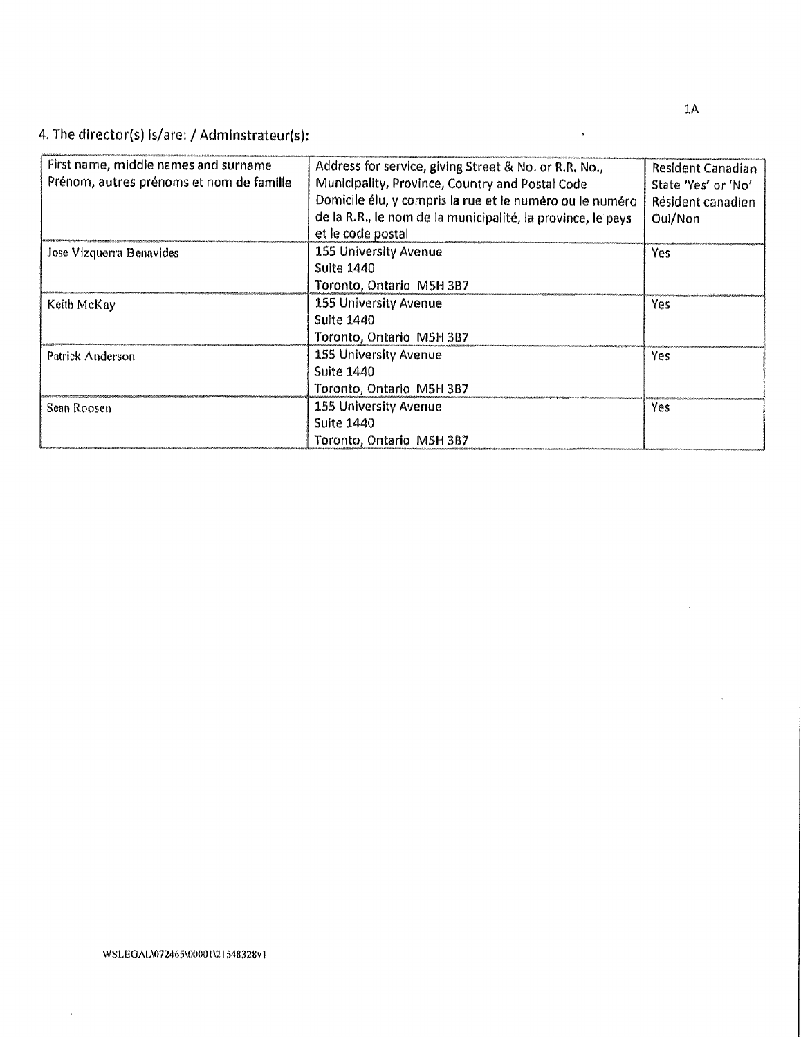4. The director(s) is/are: / Adminstrateur(s):

| First name, middle names and surname     | Address for service, giving Street & No. or R.R. No.,       | <b>Resident Canadian</b> |
|------------------------------------------|-------------------------------------------------------------|--------------------------|
| Prénom, autres prénoms et nom de famille | Municipality, Province, Country and Postal Code             | State 'Yes' or 'No'      |
|                                          | Domicile élu, y compris la rue et le numéro ou le numéro    | Résident canadien        |
|                                          | de la R.R., le nom de la municipalité, la province, le pays | Oul/Non                  |
|                                          | et le code postal                                           |                          |
| Jose Vizquerra Benavides                 | <b>155 University Avenue</b>                                | Yes                      |
|                                          | Suite 1440                                                  |                          |
|                                          | Toronto, Ontario M5H 3B7                                    |                          |
| Keith McKay                              | <b>155 University Avenue</b>                                | Yes.                     |
|                                          | Suite 1440                                                  |                          |
|                                          | Toronto, Ontario M5H 3B7                                    |                          |
| Patrick Anderson                         | <b>155 University Avenue</b>                                | Yes                      |
|                                          | <b>Suite 1440</b>                                           |                          |
|                                          | Toronto, Ontario M5H 3B7                                    |                          |
| Sean Roosen                              | <b>155 University Avenue</b>                                | <b>Yes</b>               |
|                                          | <b>Suite 1440</b>                                           |                          |
|                                          | Toronto, Ontario M5H 3B7                                    |                          |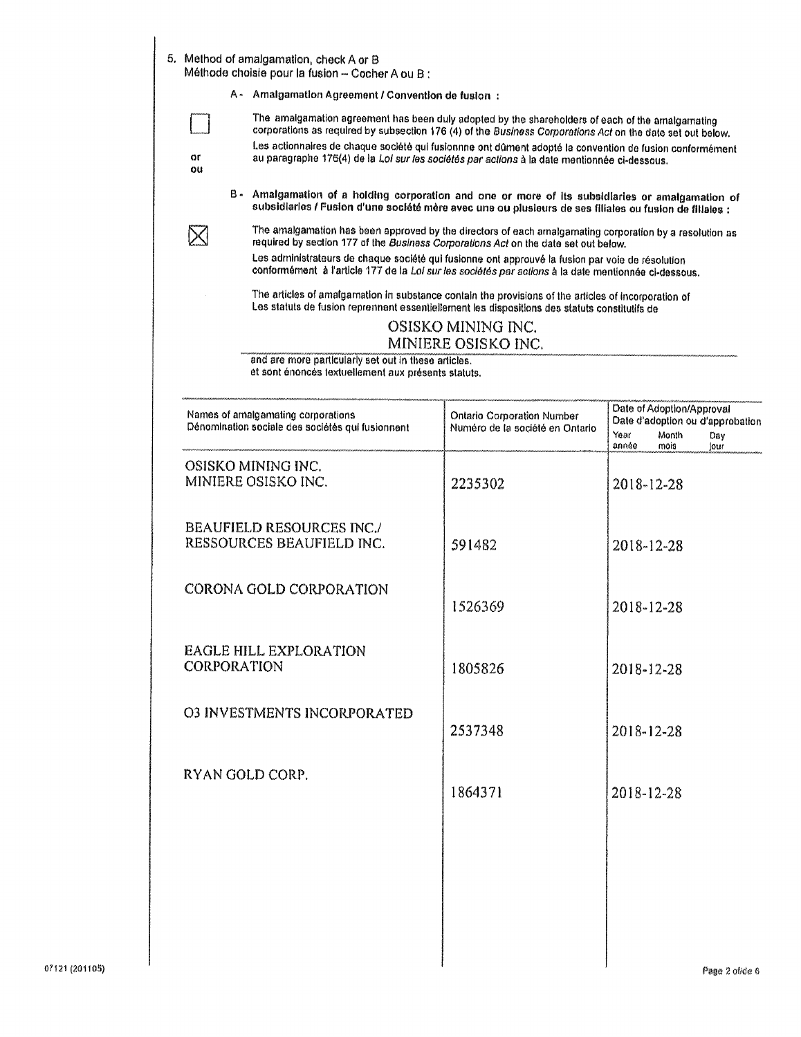|          | A - Amalgamation Agreement / Convention de fusion:                                                                                                                                                                    |                                                               |                                                                                                                |
|----------|-----------------------------------------------------------------------------------------------------------------------------------------------------------------------------------------------------------------------|---------------------------------------------------------------|----------------------------------------------------------------------------------------------------------------|
|          | The amalgamation agreement has been duly adopted by the shareholders of each of the amalgamating                                                                                                                      |                                                               |                                                                                                                |
|          | corporations as required by subsection 176 (4) of the Business Corporations Act on the date set out below.<br>Les actionnaires de chaque société qui fusionnne ont dûment adopté la convention de fusion conformément |                                                               |                                                                                                                |
| or<br>ou | au paragraphe 176(4) de la Loi sur les sociétés par actions à la date mentionnée ci-dessous.                                                                                                                          |                                                               |                                                                                                                |
|          | B - Amalgamation of a holding corporation and one or more of its subsidiaries or amalgamation of<br>subsidiaries / Fusion d'une société mère avec une ou plusieurs de ses filiales ou fusion de filiales :            |                                                               |                                                                                                                |
|          | The amalgamation has been approved by the directors of each amalgamating corporation by a resolution as<br>required by section 177 of the Business Corporations Act on the date set out below.                        |                                                               |                                                                                                                |
|          | Les administrateurs de chaque société qui fusionne ont approuvé la fusion par voie de résolution<br>conformément à l'article 177 de la Loi sur les sociétés par actions à la date mentionnée ci-dessous.              |                                                               |                                                                                                                |
|          | The articles of amalgamation in substance contain the provisions of the articles of incorporation of<br>Les statuts de fusion reprennent essentiellement les dispositions des statuts constitutifs de                 |                                                               |                                                                                                                |
|          |                                                                                                                                                                                                                       | OSISKO MINING INC.                                            |                                                                                                                |
|          | and are more particularly set out in these articles.                                                                                                                                                                  | MINIERE OSISKO INC.                                           |                                                                                                                |
|          | et sont énoncés textuellement aux présents statuts.                                                                                                                                                                   |                                                               |                                                                                                                |
|          |                                                                                                                                                                                                                       |                                                               |                                                                                                                |
|          | Names of amalgamating corporations<br>Dénomination sociale des sociétés qui fusionnent                                                                                                                                | Ontario Corporation Number<br>Numéro de la société en Ontario | Date of Adoption/Approval<br>Date d'adoption ou d'approbation<br>Year<br>Month<br>Day<br>année<br>mois<br>jour |
|          | OSISKO MINING INC.                                                                                                                                                                                                    |                                                               |                                                                                                                |
|          | MINIERE OSISKO INC.                                                                                                                                                                                                   | 2235302                                                       | 2018-12-28                                                                                                     |
|          | <b>BEAUFIELD RESOURCES INC./</b>                                                                                                                                                                                      |                                                               |                                                                                                                |
|          | RESSOURCES BEAUFIELD INC.                                                                                                                                                                                             | 591482                                                        | 2018-12-28                                                                                                     |
|          |                                                                                                                                                                                                                       |                                                               |                                                                                                                |
|          | CORONA GOLD CORPORATION                                                                                                                                                                                               |                                                               |                                                                                                                |
|          |                                                                                                                                                                                                                       | 1526369                                                       | 2018-12-28                                                                                                     |
|          | <b>EAGLE HILL EXPLORATION</b>                                                                                                                                                                                         |                                                               |                                                                                                                |
|          | CORPORATION                                                                                                                                                                                                           | 1805826                                                       | 2018-12-28                                                                                                     |
|          |                                                                                                                                                                                                                       |                                                               |                                                                                                                |
|          | <b>O3 INVESTMENTS INCORPORATED</b>                                                                                                                                                                                    |                                                               |                                                                                                                |
|          |                                                                                                                                                                                                                       | 2537348                                                       | 2018-12-28                                                                                                     |
|          | RYAN GOLD CORP.                                                                                                                                                                                                       |                                                               |                                                                                                                |
|          |                                                                                                                                                                                                                       | 1864371                                                       | 2018-12-28                                                                                                     |
|          |                                                                                                                                                                                                                       |                                                               |                                                                                                                |
|          |                                                                                                                                                                                                                       |                                                               |                                                                                                                |
|          |                                                                                                                                                                                                                       |                                                               |                                                                                                                |
|          |                                                                                                                                                                                                                       |                                                               |                                                                                                                |
|          |                                                                                                                                                                                                                       |                                                               |                                                                                                                |
|          |                                                                                                                                                                                                                       |                                                               |                                                                                                                |
|          |                                                                                                                                                                                                                       |                                                               |                                                                                                                |
|          |                                                                                                                                                                                                                       |                                                               |                                                                                                                |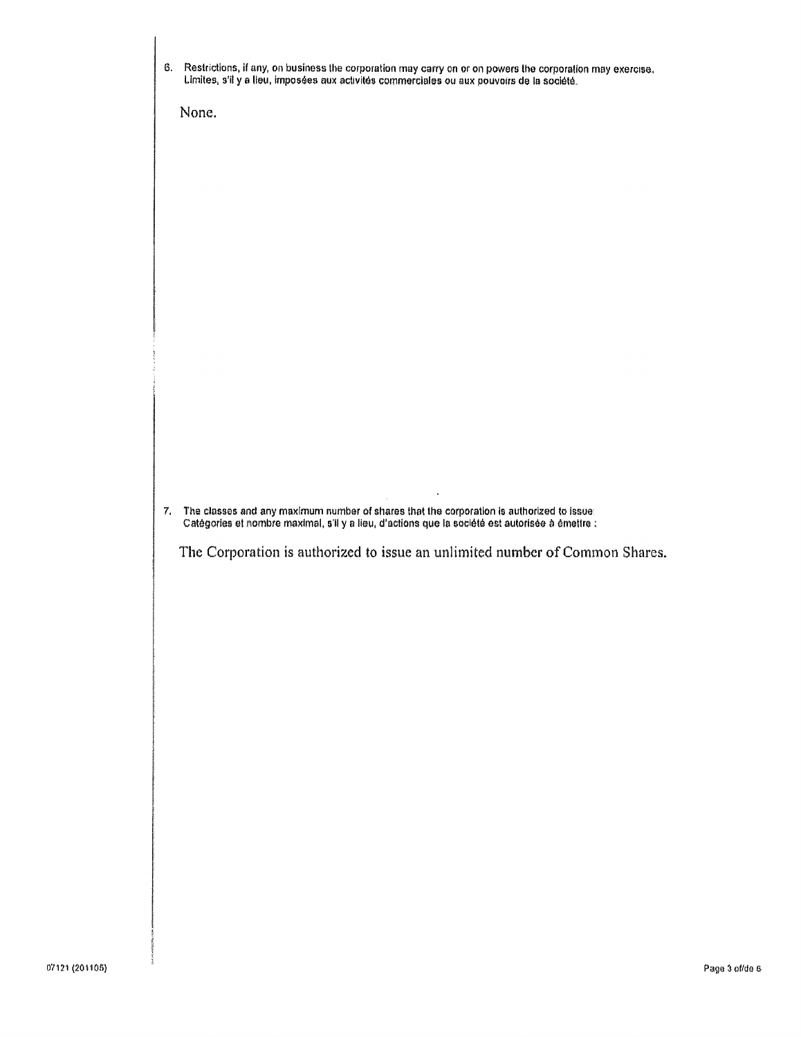| 6. | Restrictions, if any, on business the corporation may carry on or on powers the corporation may exercise.<br>Limites, s'il y a lieu, imposées aux activités commerciales ou aux pouvoirs de la société. |
|----|---------------------------------------------------------------------------------------------------------------------------------------------------------------------------------------------------------|
|    | None.                                                                                                                                                                                                   |
|    |                                                                                                                                                                                                         |
|    |                                                                                                                                                                                                         |
|    |                                                                                                                                                                                                         |
|    |                                                                                                                                                                                                         |
|    |                                                                                                                                                                                                         |
|    |                                                                                                                                                                                                         |
|    |                                                                                                                                                                                                         |
|    |                                                                                                                                                                                                         |
| 7. | The classes and any maximum number of shares that the corporation is authorized to issue:                                                                                                               |
|    | Catégories et nombre maximal, s'il y a lieu, d'actions que la société est autorisée à émettre :<br>The Corporation is authorized to issue an unlimited number of Common Shares.                         |
|    |                                                                                                                                                                                                         |
|    |                                                                                                                                                                                                         |
|    |                                                                                                                                                                                                         |
|    |                                                                                                                                                                                                         |
|    |                                                                                                                                                                                                         |
|    |                                                                                                                                                                                                         |
|    |                                                                                                                                                                                                         |
|    |                                                                                                                                                                                                         |
|    |                                                                                                                                                                                                         |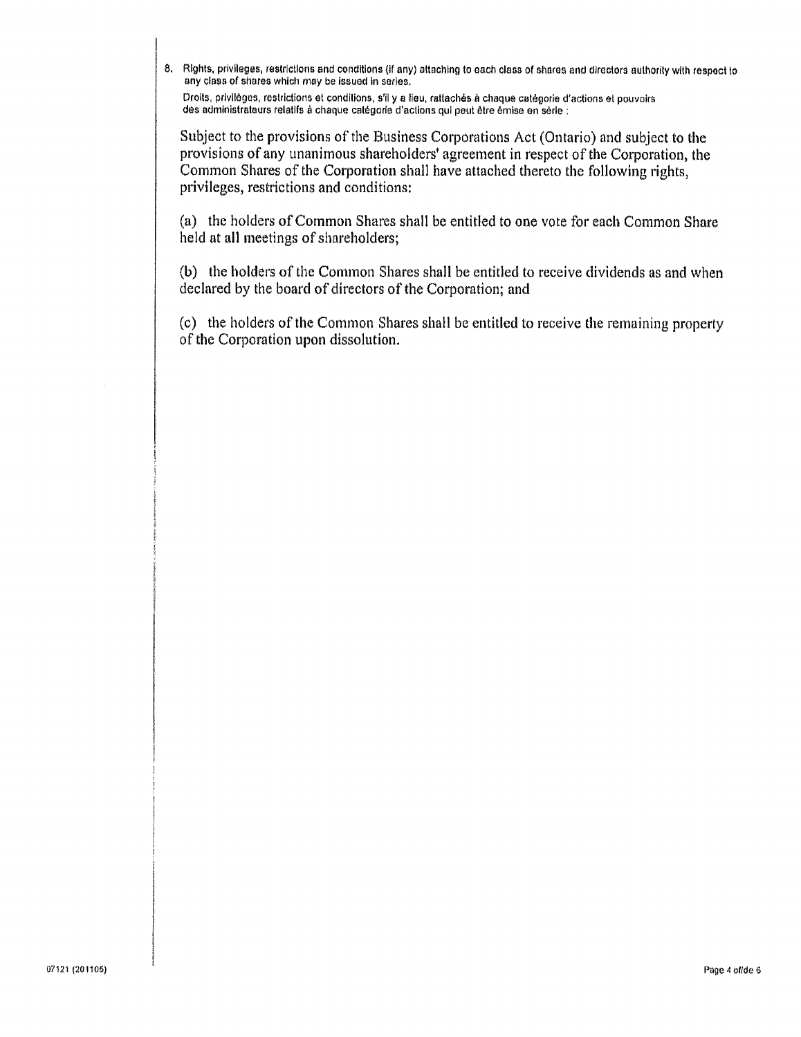8. Rights, privileges, restrictions and conditions (if any) attaching to each class of shares and directors authority with respect to any class of shares which may be issued in series.

Droits, privilèges, restrictions et conditions, s'il y a lieu, rattachés à chaque catégorie d'actions et pouvoirs des administrateurs relatifs à chaque catégorie d'actions qui peut être émise en série :

Subject to the provisions of the Business Corporations Act (Ontario) and subject to the provisions of any unanimous shareholders' agreement in respect of the Corporation, the Common Shares of the Corporation shall have attached thereto the following rights, privileges, restrictions and conditions:

(a) the holders of Common Shares shall be entitled to one vote for each Common Share held at all meetings of shareholders;

(b) the holders of the Common Shares shall be entitled to receive dividends as and when declared by the board of directors of the Corporation; and

(c) the holders of the Common Shares shall be entitled to receive the remaining property of the Corporation upon dissolution.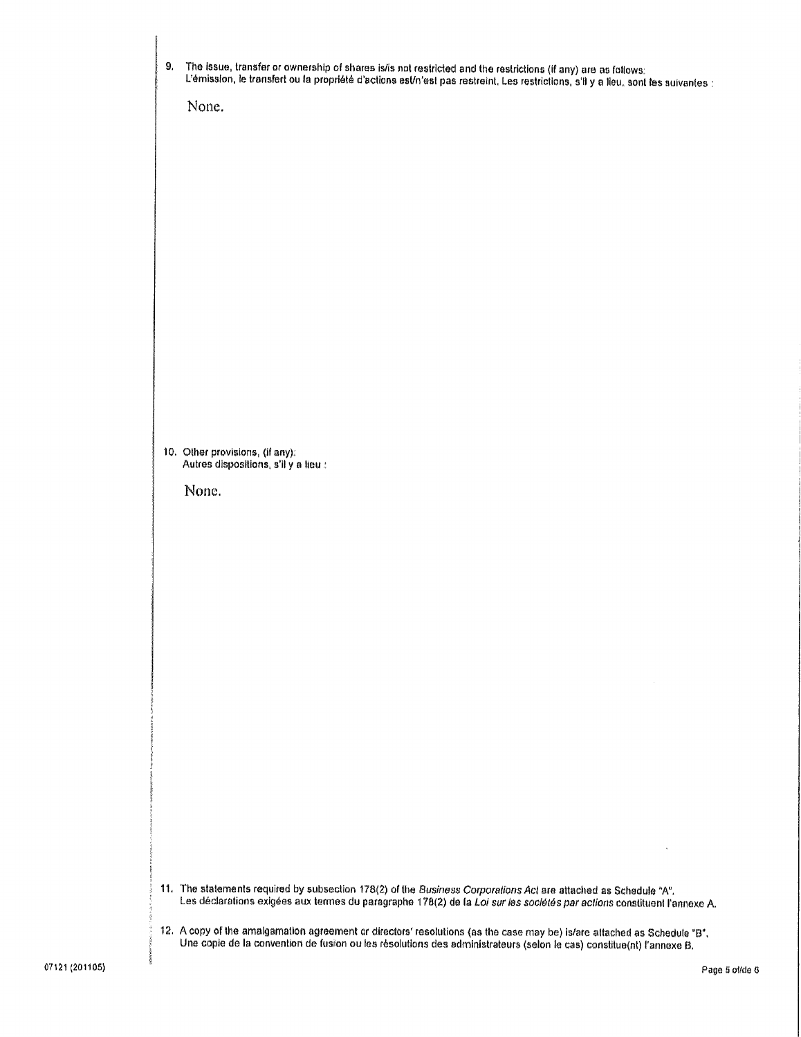| 9, | The issue, transfer or ownership of shares is/is not restricted and the restrictions (if any) are as follows:<br>L'émission, le transfert ou la propriété d'actions est/n'est pas restreint. Les restrictions, s'il y a lieu, sont les suivantes :<br>None. |
|----|-------------------------------------------------------------------------------------------------------------------------------------------------------------------------------------------------------------------------------------------------------------|
|    |                                                                                                                                                                                                                                                             |
|    |                                                                                                                                                                                                                                                             |
|    |                                                                                                                                                                                                                                                             |
|    | 10. Other provisions, (if any):<br>Autres dispositions, s'il y a lieu :<br>None.                                                                                                                                                                            |
|    |                                                                                                                                                                                                                                                             |
|    |                                                                                                                                                                                                                                                             |
|    |                                                                                                                                                                                                                                                             |
|    |                                                                                                                                                                                                                                                             |
|    |                                                                                                                                                                                                                                                             |
|    | 11. The statements required by subsection 178(2) of the Business Corporations Act are attached as Schedule "A".<br>Les déclarations exigées aux termes du paragraphe 178(2) de la Loi sur les sociétés par actions constituent l'annexe A.                  |
|    | 12. A copy of the amalgamation agreement or directors' resolutions (as the case may be) is/are attached as Schedule "B".<br>Une copie de la convention de fusion ou les résolutions des administrateurs (selon le cas) constitue(nt) l'annexe B.            |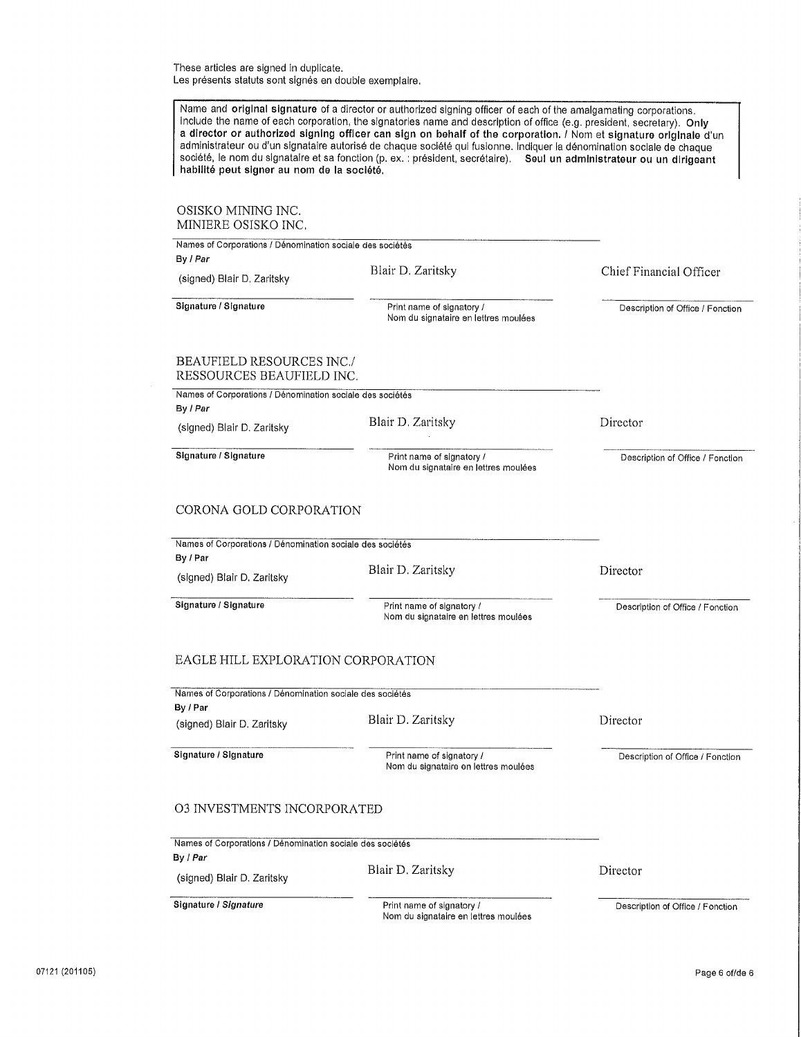These articles are signed in duplicate. Les présents statuts sont signés en double exemplaire,

| habilité peut signer au nom de la société.                                                          | Name and original signature of a director or authorized signing officer of each of the amalgamating corporations.<br>Include the name of each corporation, the signatories name and description of office (e.g. president, secretary). Only<br>a director or authorized signing officer can sign on behalf of the corporation. / Nom et signature originale d'un<br>administrateur ou d'un signataire autorisé de chaque société qui fusionne. Indiquer la dénomination sociale de chaque<br>société, le nom du signataire et sa fonction (p. ex. : président, secrétaire). Seul un administrateur ou un dirigeant |                                  |
|-----------------------------------------------------------------------------------------------------|--------------------------------------------------------------------------------------------------------------------------------------------------------------------------------------------------------------------------------------------------------------------------------------------------------------------------------------------------------------------------------------------------------------------------------------------------------------------------------------------------------------------------------------------------------------------------------------------------------------------|----------------------------------|
| OSISKO MINING INC.<br>MINIERE OSISKO INC.                                                           |                                                                                                                                                                                                                                                                                                                                                                                                                                                                                                                                                                                                                    |                                  |
| Names of Corporations / Dénomination sociale des sociétés<br>By I Par                               |                                                                                                                                                                                                                                                                                                                                                                                                                                                                                                                                                                                                                    |                                  |
| (signed) Blair D. Zaritsky                                                                          | Blair D. Zaritsky                                                                                                                                                                                                                                                                                                                                                                                                                                                                                                                                                                                                  | Chief Financial Officer          |
| Signature / Signature                                                                               | Print name of signatory /<br>Nom du signataire en lettres moulées                                                                                                                                                                                                                                                                                                                                                                                                                                                                                                                                                  | Description of Office / Fonction |
| <b>BEAUFIELD RESOURCES INC./</b><br>RESSOURCES BEAUFIELD INC.                                       |                                                                                                                                                                                                                                                                                                                                                                                                                                                                                                                                                                                                                    |                                  |
| Names of Corporations / Dénomination sociale des sociétés                                           |                                                                                                                                                                                                                                                                                                                                                                                                                                                                                                                                                                                                                    |                                  |
| By / Par<br>(signed) Blair D. Zaritsky                                                              | Blair D. Zaritsky                                                                                                                                                                                                                                                                                                                                                                                                                                                                                                                                                                                                  | Director                         |
| Signature / Signature                                                                               | Print name of signatory /<br>Nom du signataire en lettres moulées                                                                                                                                                                                                                                                                                                                                                                                                                                                                                                                                                  | Description of Office / Fonction |
| Names of Corporations / Dénomination sociale des sociétés<br>By / Par<br>(signed) Blair D. Zaritsky | Blair D. Zaritsky                                                                                                                                                                                                                                                                                                                                                                                                                                                                                                                                                                                                  | Director                         |
| Signature / Signature                                                                               | Print name of signatory /<br>Nom du signataire en lettres moulées                                                                                                                                                                                                                                                                                                                                                                                                                                                                                                                                                  | Description of Office / Fonction |
| EAGLE HILL EXPLORATION CORPORATION                                                                  |                                                                                                                                                                                                                                                                                                                                                                                                                                                                                                                                                                                                                    |                                  |
| Names of Corporations / Dénomination sociale des sociétés<br>By / Par                               |                                                                                                                                                                                                                                                                                                                                                                                                                                                                                                                                                                                                                    |                                  |
| (signed) Blair D. Zaritsky                                                                          | Blair D. Zaritsky                                                                                                                                                                                                                                                                                                                                                                                                                                                                                                                                                                                                  | Director                         |
| Signature / Signature                                                                               | Print name of signatory /<br>Nom du signataire en lettres moulées                                                                                                                                                                                                                                                                                                                                                                                                                                                                                                                                                  | Description of Office / Fonction |
| <b>03 INVESTMENTS INCORPORATED</b>                                                                  |                                                                                                                                                                                                                                                                                                                                                                                                                                                                                                                                                                                                                    |                                  |
| Names of Corporations / Dénomination sociale des sociétés                                           |                                                                                                                                                                                                                                                                                                                                                                                                                                                                                                                                                                                                                    |                                  |
| By / Par<br>(signed) Blair D. Zaritsky                                                              | Blair D. Zaritsky                                                                                                                                                                                                                                                                                                                                                                                                                                                                                                                                                                                                  | Director                         |
| Signature / Signature                                                                               | Print name of signatory /<br>Nom du signataire en lettres moulées                                                                                                                                                                                                                                                                                                                                                                                                                                                                                                                                                  | Description of Office / Fonction |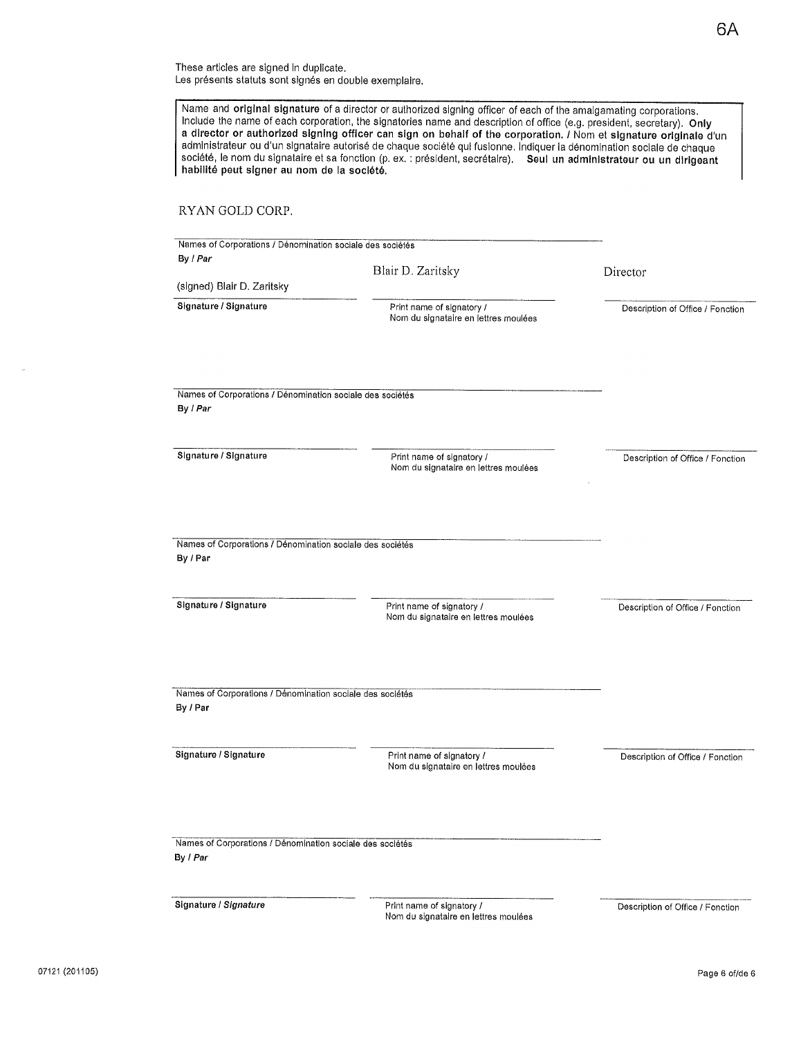These articles are signed in duplicate. <sup>L</sup>es présents statuts sont signés en double exemplaire.

| habilité peut signer au nom de la société.                                                     | a director or authorized signing officer can sign on behalf of the corporation. / Nom et signature originale d'un<br>administrateur ou d'un signataire autorisé de chaque société qui fusionne. Indiquer la dénomination sociale de chaque<br>société, le nom du signataire et sa fonction (p. ex. : président, secrétaire). Seul un administrateur ou un dirigeant |                                  |
|------------------------------------------------------------------------------------------------|---------------------------------------------------------------------------------------------------------------------------------------------------------------------------------------------------------------------------------------------------------------------------------------------------------------------------------------------------------------------|----------------------------------|
| RYAN GOLD CORP.                                                                                |                                                                                                                                                                                                                                                                                                                                                                     |                                  |
| Names of Corporations / Dénomination sociale des sociétés                                      |                                                                                                                                                                                                                                                                                                                                                                     |                                  |
| By / Par                                                                                       | Blair D. Zaritsky                                                                                                                                                                                                                                                                                                                                                   | Director                         |
| (signed) Blair D. Zaritsky                                                                     |                                                                                                                                                                                                                                                                                                                                                                     |                                  |
| Signature / Signature                                                                          | Print name of signatory /<br>Nom du signataire en lettres moulées                                                                                                                                                                                                                                                                                                   | Description of Office / Fonction |
|                                                                                                |                                                                                                                                                                                                                                                                                                                                                                     |                                  |
| Names of Corporations / Dénomination sociale des sociétés<br>By / Par                          |                                                                                                                                                                                                                                                                                                                                                                     |                                  |
| Signature / Signature                                                                          | Print name of signatory /<br>Nom du signataire en lettres moulées                                                                                                                                                                                                                                                                                                   | Description of Office / Fonction |
| Names of Corporations / Dénomination sociale des sociétés<br>By / Par<br>Signature / Signature | Print name of signatory /<br>Nom du signataire en lettres moulées                                                                                                                                                                                                                                                                                                   | Description of Office / Fonction |
| Names of Corporations / Dénomination sociale des sociétés<br>By / Par                          |                                                                                                                                                                                                                                                                                                                                                                     |                                  |
| Signature / Signature                                                                          | Print name of signatory /<br>Nom du signataire en lettres moulées                                                                                                                                                                                                                                                                                                   | Description of Office / Fonction |
| Names of Corporations / Dénomination sociale des sociétés<br>By / Par                          |                                                                                                                                                                                                                                                                                                                                                                     |                                  |
| Signature / Signature                                                                          | Print name of signatory /<br>Nom du signataire en lettres moulées                                                                                                                                                                                                                                                                                                   | Description of Office / Fonction |

 $\sim$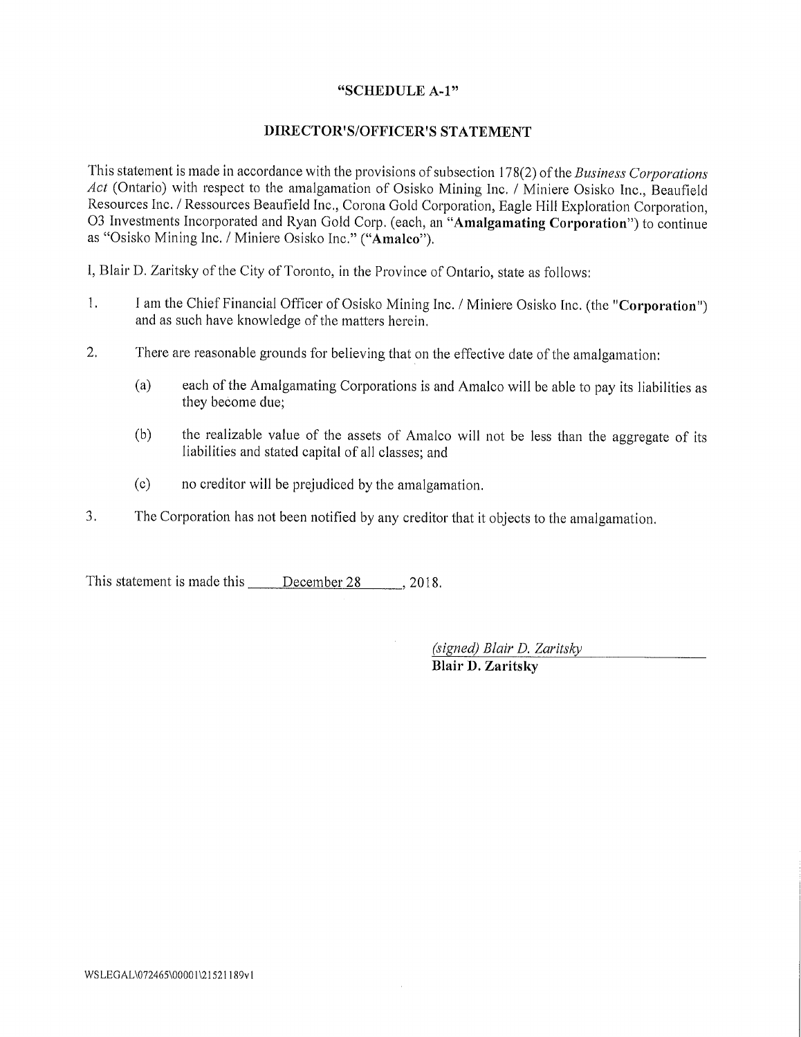# "SCHEDULE A-1"

# DIRECTOR'S/OFFICER'S STATEMENT

This statement is made in accordance with the provisions of subsection 178(2) of the Business Corporations Act (Ontario) with respect to the amalgamation of Osisko Mining Inc. / Miniere Osisko Inc., Beaufield <sup>R</sup>esources Inc. / Ressources Beaufield Inc., Corona Gold Corporation, Eagle Hill Exploration Corporation, <sup>0</sup>3 Investments Incorporated and Ryan Gold Corp. (each, an "Amalgamating Corporation") to continue <sup>a</sup>s "Osisko Mining Inc. / Miniere Osisko Inc." ("Amalco").

I, Blair D. Zaritsky of the City of Toronto, in the Province of Ontario, state as follows:

- 1. <sup>I</sup> am the Chief Financial Officer of Osisko Mining Inc. / Miniere Osisko Inc. (the "Corporation") <sup>a</sup>nd as such have knowledge of the matters herein.
- $2.$ <sup>T</sup>here are reasonable grounds for believing that on the effective date of the amalgamation:
	- (a) each of the Amalgamating Corporations is and Amalco will be able to pay its liabilities as they become due;
	- (b) the realizable value of the assets of Amalco will not be less than the aggregate of its liabilities and stated capital of all classes; and
	- (c) no creditor will be prejudiced by the amalgamation.
- <sup>3</sup>. The Corporation has not been notified by any creditor that it objects to the amalgamation.

This statement is made this <u>December 28</u> , 2018.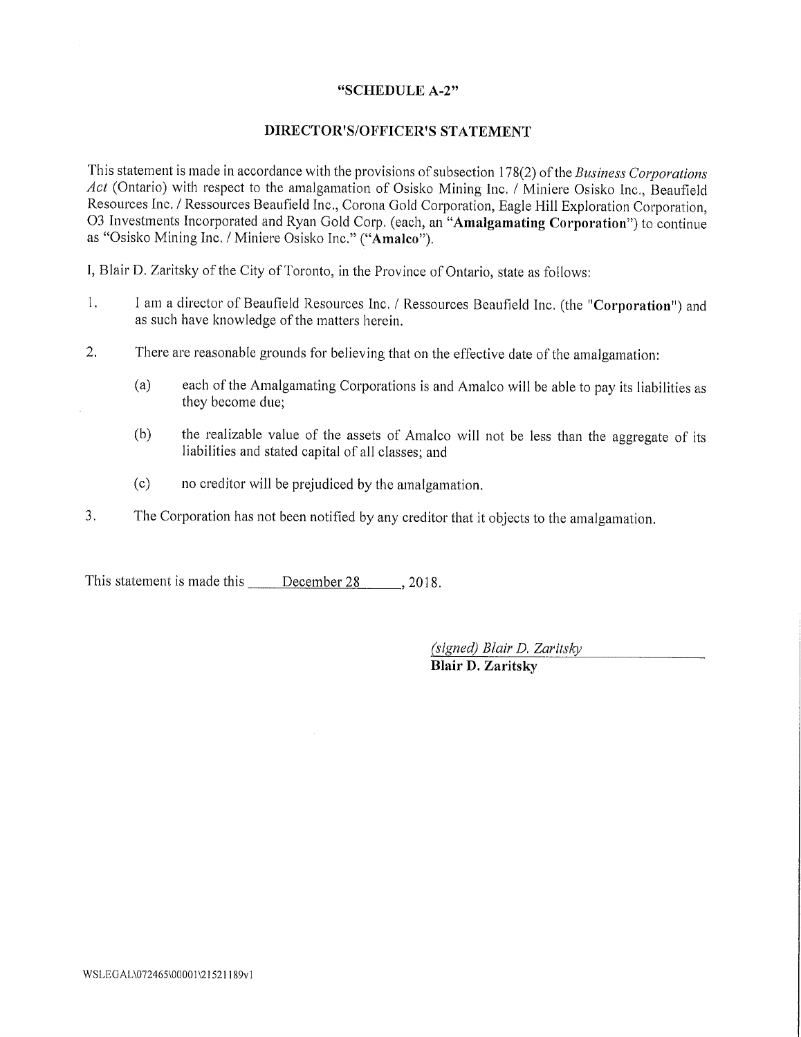## "SCHEDULE A-2"

# DIRECTOR'S/OFFICER'S STATEMENT

This statement is made in accordance with the provisions of subsection 178(2) of the Business Corporations Act (Ontario) with respect to the amalgamation of Osisko Mining Inc. / Miniere Osisko Inc., Beaufield <sup>R</sup>esources Inc, / Ressources Beaufield Inc., Corona Gold Corporation, Eagle Hill Exploration Corporation, 03 Investments Incorporated and Ryan Gold Corp. (each, an "Amalgamating Corporation") to continue <sup>a</sup>s "Osisko Mining Inc. / Miniere Osisko Inc." ("Amalco"),

I, Blair D. Zaritsky of the City of Toronto, in the Province of Ontario, state as follows:

- 1. <sup>I</sup> am a director of Beaufield Resources Inc. / Ressources Bean field Inc. (the "Corporation") and <sup>a</sup>s such have knowledge of the matters herein.
- $\overline{2}$ . <sup>T</sup>here are reasonable grounds for believing that on the effective date of the amalgamation:
	- (a) each of the Amalgamating Corporations is and Amalco will he able to pay its liabilities as they become due;
	- $(b)$  the realizable value of the assets of Amalco will not be less than the aggregate of its liabilities and stated capital of all classes; and
	- (c) no creditor will be prejudiced by the amalgamation.
- 3. <sup>T</sup>he Corporation has not been notified by any creditor that it objects to the amalgamation,

This statement is made this <u>December 28</u> , 2018.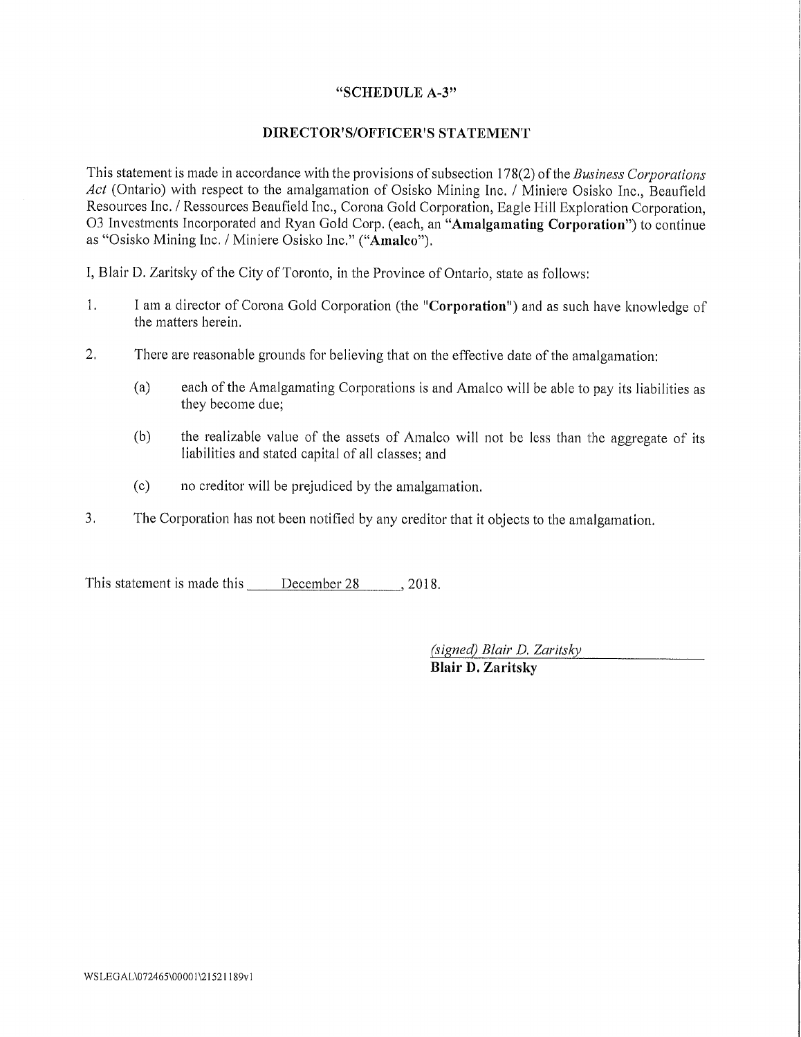# "SCHEDULE A-3"

# :DIRECTOR'S/OFFICER'S STATEMENT

This statement is made in accordance with the provisions of subsection 178(2) of the Business Corporations Act (Ontario) with respect to the amalgamation of Osisko Mining Inc. / Miniere Osisko Inc., Beaufield Resources Inc. / Ressources Beaufield Inc., Corona Gold Corporation, Eagle Hill Exploration Corporation, 03 Investments Incorporated and Ryan Gold Corp. (each, an "Amalgamating Corporation") to continue as "Osisko Mining Inc. / Miniere Osisko Inc." ("Amalco").

I, Blair I). Zaritskv of the City of' Toronto, in the Province of Ontario, state as follows:

- $\mathbf{1}$ . <sup>I</sup> am a director of Corona Gold Corporation (the "Corporation") and as such have knowledge of the matters herein.
- $2.$ There are reasonable grounds for believing that on the effective date of the amalgamation:
	- (a) each of the Amalgamating Corporations is and Amalco will be able to pay its liabilities as they become due:
	- $(b)$  the realizable value of the assets of Amalco will not be less than the aggregate of its liabilities and stated capital of all classes; and
	- $(c)$  no creditor will be prejudiced by the amalgamation.
- 3. The Corporation has not been notified by any creditor that it objects to the amalgamation.

This statement is made this December 28 , 2018.

 $(signed)$  Blair D. Zaritsky

Blair D. Zaritsky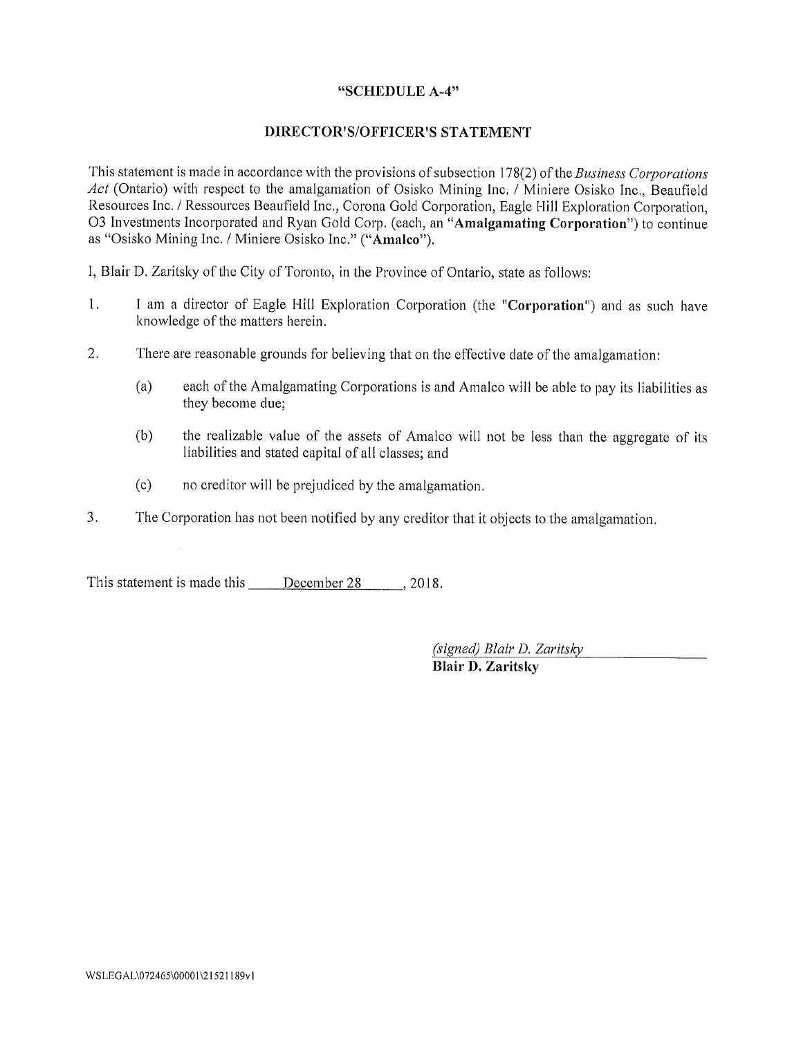# "SCHEDULE A-4"

# DIRECTOR'S/OFFICER'S STATEMENT

This statement is made in accordance with the provisions of subsection 178(2) of the Business Corporations Act (Ontario) with respect to the amalgamation of Osisko Mining Inc. / Miniere Osisko Inc., Beaufield Resources Inc. / Ressources Beaufield Inc., Corona Gold Corporation, Eagle Hill Exploration Corporation, 03 Investments Incorporated and Ryan Gold Corp. (each, an "Amalgamating Corporation") to continue as "Osisko Mining Inc. / Miniere Osisko Inc." ("Amalco").

I, Blair D. Zaritsky of the City of 'Ioronto, in the Province of Ontario, state as follows:

- 1. I am a director of Eagle Hill Exploration Corporation (the "Corporation") and as such have knowledge of the matters herein.
- 2. There are reasonable grounds for believing that on the effective date of the amalgamation:
	- (a) each of the Amalgamating Corporations is and Amalco will be able to pay its liabilities as they become due;
	- (b) the realizable value of the assets of Amalco will not be less than the aggregate of its liabilities and stated capital of all classes; and
	- (c) no creditor will be prejudiced by the amalgamation.
- $\overline{3}$ . The Corporation has not been notified by any creditor that it objects to the amalgamation.

This statement is made this December 28 . 2018.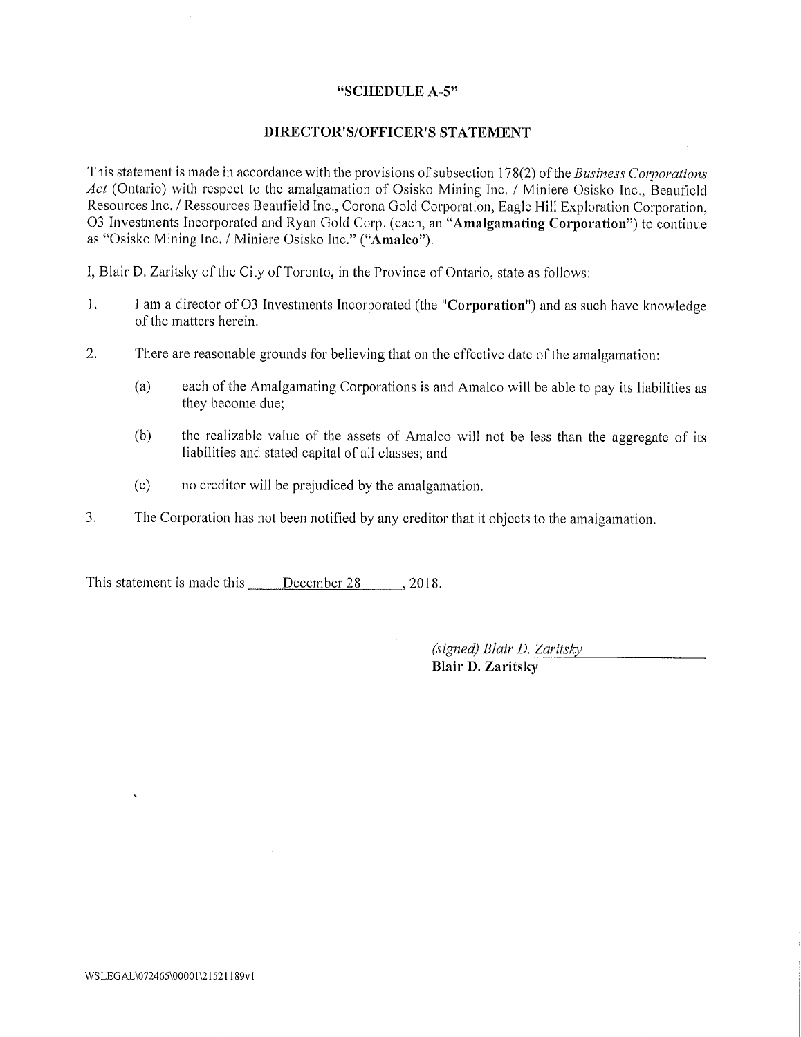### "SCHEDULE. A-5"

## DIRECTOR'S/OFFICER'S STATEMENT

This statement is made in accordance with the provisions of subsection 178(2) of the *Business Corporations* Act (Ontario) with respect to the amalgamation of Osisko Mining Inc. / Miniere Osisko Inc., Beaufield Resources Inc. / Ressources Beaufield Inc., Corona Gold Corporation, Eagle Hill Exploration Corporation, 03 Investments Incorporated and Ryan Gold Corp. (each, an "Amalgamating Corporation") to continue as "Osisko Mining Inc. / Minicre Osisko Inc." ("Amalco").

1, Blair D. Zaritsky of the City of Toronto, in the Province of Ontario, state as follows;

- $\mathbf{1}$ . <sup>I</sup> am a director of 03 Investments Incorporated (the "Corporation") and as such have knowledge of the matters herein.
- 2. "There are reasonable grounds for believing that on the effective date of the amalgamation:
	- (a) each of the Amalgamating Corporations is and Amalco will be able to pay its liabilities as they become due;
	- (b) the realizable value of the assets of Amalco will not be less than the aggregate of its liabilities and stated capital of all classes; and
	- (c) no creditor will be prejudiced by the amalgamation.
- 3. The Corporation has not been notified by any creditor that it objects to the amalgamation.

This statement is made this December 28 . 2018.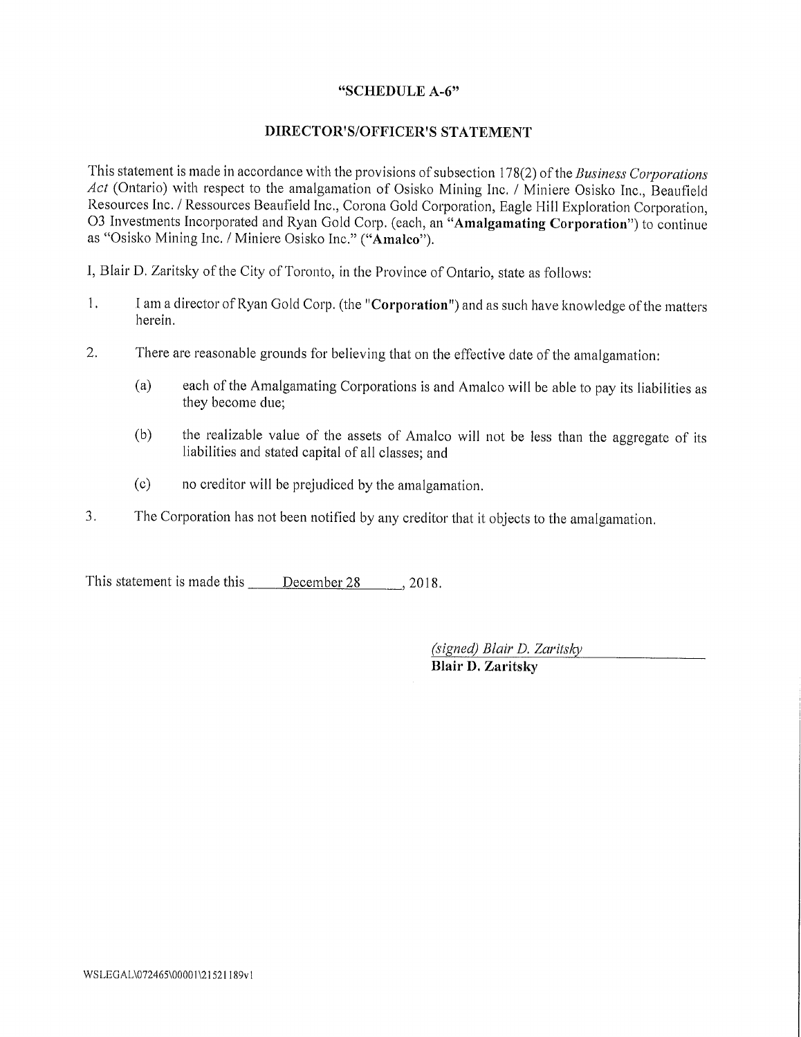# "SCHEDULE A-6"

# DIRECTOR'S/OFFICER'S STATEMENT

This statement is made in accordance with the provisions of subsection 178(2) of the Business Corporations Act (Ontario) with respect to the amalgamation of Osisko Mining Inc. / Miniere Osisko Inc., Beaufield Resources Inc. / Ressources Beaufield Inc., Corona Gold Corporation, Eagle Hill Exploration Corporation, <sup>0</sup>3 Investments Incorporated and Ryan Gold Corp. (each, an "Amalgamating Corporation") to continue <sup>a</sup>s "Osisko Mining Inc. / Minicre Osisko Inc." ("Amalco").

I, Blair D. Zaritsky of the City of Toronto, in the Province of Ontario, state as follows:

- $\overline{1}$ . I am a director of Ryan Gold Corp. (the "Corporation") and as such have knowledge of the matters herein.
- $\overline{2}$ . <sup>T</sup>here are reasonable grounds for believing that on the effective date of the amalgamation:
	- (a) each of the Amalgamating Corporations is and Amalco wi<sup>l</sup> <sup>l</sup>be able to pay its liabilities as they become due;
	- (b) the realizable value of the assets of Amalco will not be less than the aggregate of its liabilities and stated capital of all classes; and
	- (c) no creditor will be prejudiced by the amalgamation.
- <sup>3</sup>. The Corporation has not been notified by any creditor that it objects to the amalgamation.

This statement is made this <u>December 28</u> , 2018.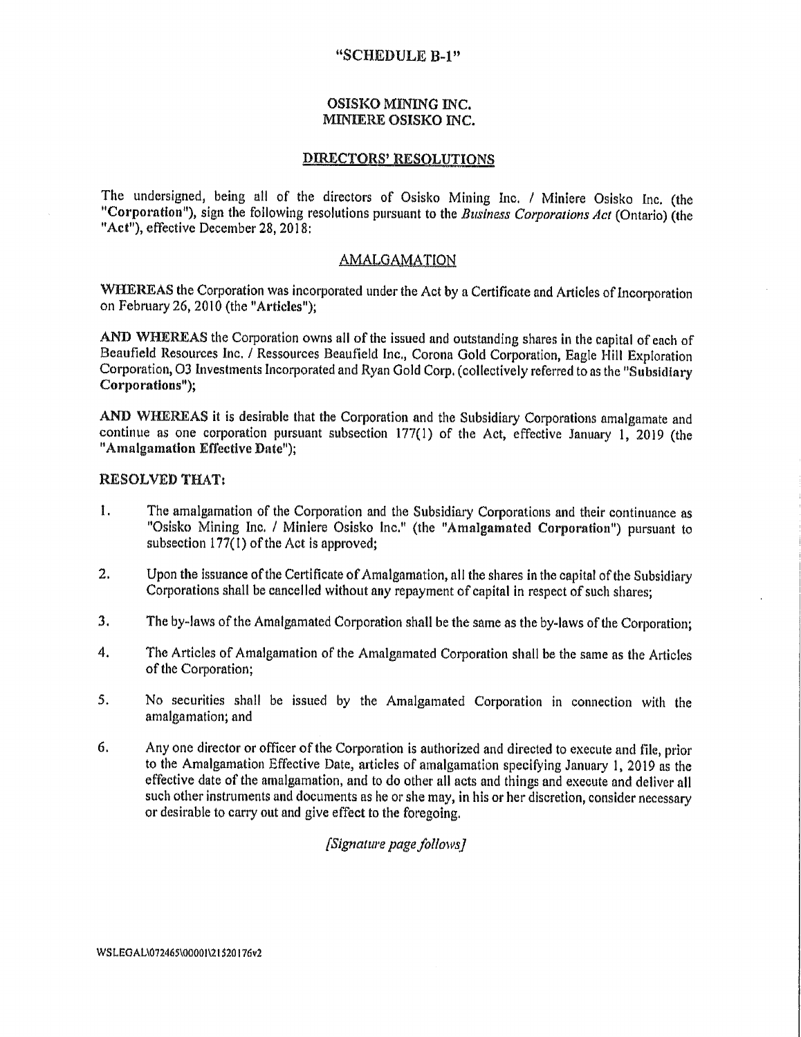### "SCHEDULE B-1"

### OSISKO MINING INC. MINIERE OSISKO INC.

### DIRECTORS' RESOLUTIONS

<sup>T</sup>he undersigned, being all of the directors of Osisko Mining Inc. / Minicre Osisko Inc. (the "Corporation"), sign the following resolutions pursuant to the Business Corporations Act (Ontario) (the "Act"), effective December 28, 2018:

# **AMALGAMATION**

<sup>W</sup>HEREAS the Corporation was incorporated under the Act by a Certificate and Articles of Incorporation <sup>o</sup>n February 26, 2010 (the "Articles");

AND WHEREAS the Corporation owns all of the issued and outstanding shares in the capital of each of Beaufield Resources Inc. / Ressources Beaufield Inc., Corona Gold Corporation, Eagle Hill Exploration <sup>C</sup>orporation, 03 Investments Incorporated and Ryan Gold Corp, (collectively referred to as the "Subsidiary Corporations");

<sup>A</sup>ND WHEREAS it is desirable that the Corporation and the Subsidiary Corporations amalgamate and <sup>c</sup>ontinue as one corporation pursuant subsection 177(1) of the Act, effective January 1, 2019 (the "Amalgamation Effective Date");

### RESOLVED THAT:

- 1. The amalgamation of the Corporation and the Subsidiary Corporations and their continuance as "Osisko Mining Inc. / Miniere Osisko Inc." (the "Amalgamated Corporation") pursuant to <sup>s</sup>ubsection 177(1) of the Act is approved;
- <sup>2</sup>. Upon the issuance of the Certificate of Amalgamation, all the shares in the capital of the Subsidiary <sup>C</sup>orporations shall be cancelled without any repayment of capital in respect of such shares;
- <sup>3</sup>. The by-laws of the Amalgamated Corporation shall be the same as the by-laws of the Corporation;
- <sup>4</sup>. The Articles of Amalgamation of the Amalgamated Corporation shall he the same as the Articles <sup>o</sup>f the Corporation;
- 5. No securities shall be issued by the Amalgamated Corporation in connection with the <sup>a</sup>malgamation; and
- 6. Any one director or officer of the Corporation is authorized and directed to execute and file, prior <sup>t</sup>o the Amalgamation Effective Date, articles of amalgamation specifying January 1, 2019 as the <sup>e</sup>ffective date of the amalgamation, and to do other all acts and things and execute and deliver all <sup>s</sup>uch other instruments and documents as he or she may, in his or her discretion, consider necessary <sup>o</sup>r desirable to carry out and give effect to the foregoing.

[Signature page follows]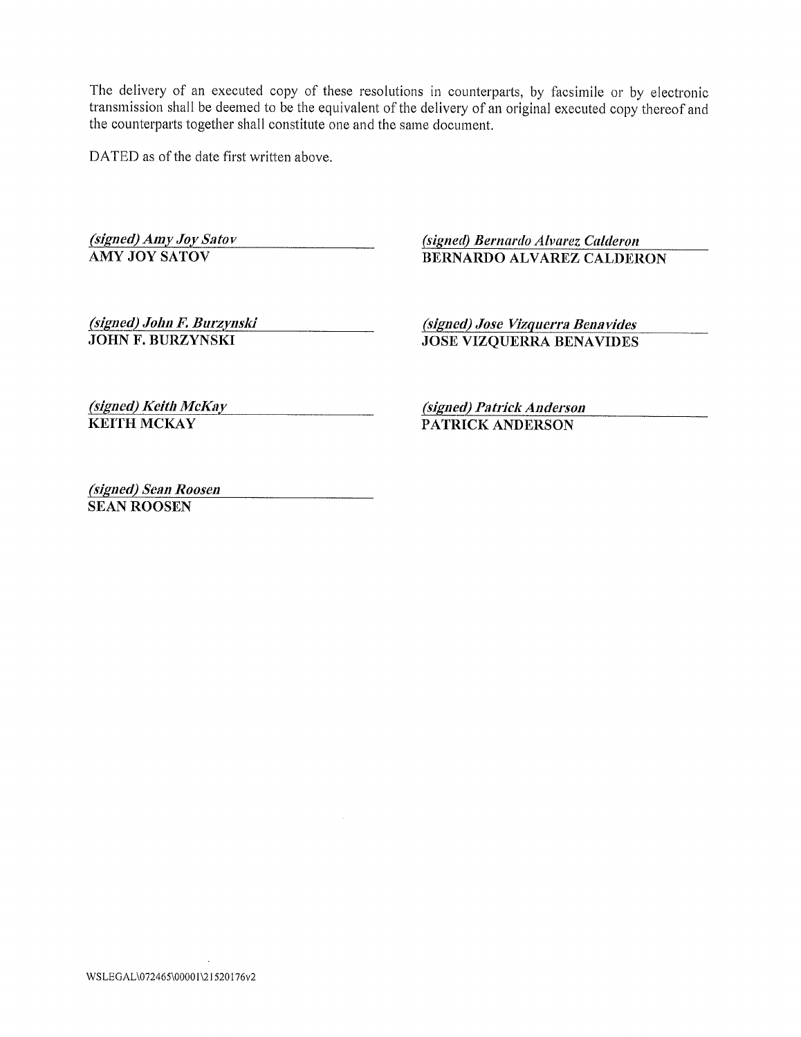DATED as of the date first written above.

(signed) Amy Joy Satov (signed) Bernardo Alvarez Calderon<br>
AMY JOY SATOV (BERNARDO ALVAREZ CALDER

BERNARDO ALVAREZ CALDERON

(signed) John F. Burzynski (signed) Jose Vizquerra Benavides<br>JOHN F. BURZYNSKI JOSE VIZOUERRA BENAVIDES

**JOSE VIZQUERRA BENAVIDES** 

(signed) Keith McKay (signed) Patrick Anderson<br>
KEITH MCKAY PATRICK ANDERSON

PATRICK ANDERSON

(signed) Sean Roosen SEAN ROOSEN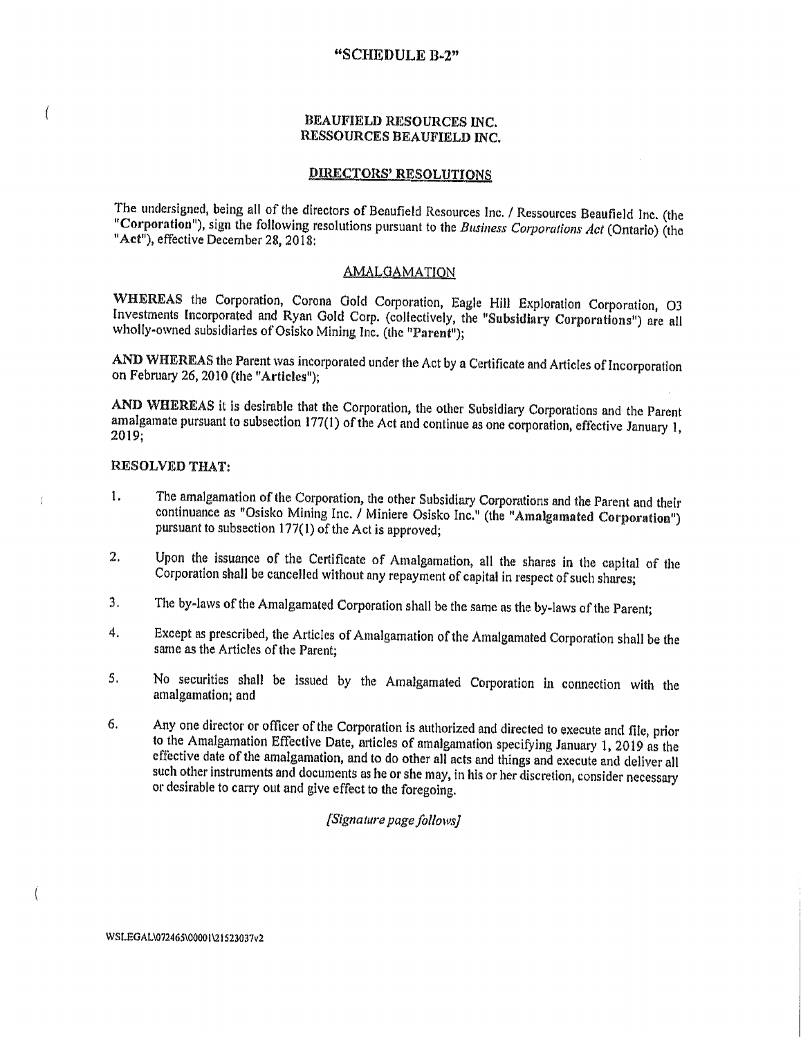### "SCHEDULE B-2"

### BEAUFIELD RESOURCES INC. RESSOURCES BEAUFIELD INC.

# DIRECTORS' RESOLUTIONS

The undersigned, being all of the directors of Beaufield Resources Inc. / Ressources Beaufield Inc. (the "Corporation"), sign the following resolutions pursuant to the Business Corporations Act (Ontario) (the "Act"), effective December 28, 2018:

#### AMALGAMATION

WHEREAS the Corporation, Corona Gold Corporation, Eagle Hill Exploration Corporation, O3 <sup>I</sup>nvestments Incorporated and Ryan Gold Corp. (collectively, the "Subsidiary Corporations") are all <sup>w</sup>holly-owned subsidiaries of Osisko Mining Inc. (the "Parent");

<sup>A</sup>ND WHEREAS the Parent was incorporated under the Act by a Certificate and Articles of Incorporation <sup>o</sup>n February 26, 2010 (the "Articles");

AND WHEREAS it is desirable that the Corporation, the other Subsidiary Corporations and the Parent <sup>a</sup>malgamate pursuant to subsection 177(1) of the Act and continue as one corporation, effective January I, 2019;

### RESOLVED THAT:

ſ

 $\frac{1}{2}$ 

Ĩ

- <sup>1</sup>. The amalgamation of the Corporation, the other Subsidiary Corporations end the Parent and their continuance as "Osisko Mining Inc. / Miniere Osisko Inc." (the "Amalgamated Corporation") <sup>p</sup>ursuant to subsection 177(1) of the Act is approved;
- <sup>U</sup>pon the issuance of the Certificate of Amalgamation, all the shares in the capital of the 2. <sup>C</sup>orporation shall be cancelled without any repayment of capital in respect of such shares;
- 3. The by-laws of the Amalgamated Corporation shall be the same as the by-laws of the Parent;
- 4. Except as prescribed, the Articles of Amalgamation of the Amalgamated Corporation shall be the same as the Articles of the Parent:
- <sup>5</sup>, No securities shall be issued by the Amalgamated Corporation in connection with the <sup>a</sup>malgamation; and
- 6. Any one director or officer of the Corporation is authorized and directed to execute and file, prior <sup>t</sup>o the Amalgamation Effective Date, articles of amalgamation specifying January 1, 2019 as the <sup>e</sup>ffective date of the amalgamation, and to do other all acts and things and execute and deliver all <sup>s</sup>uch other instruments and documents as he or she may, in his or her discretion, consider necessary <sup>o</sup>r desirable to carry out and give effect to the foregoing,

# [Signature page follows]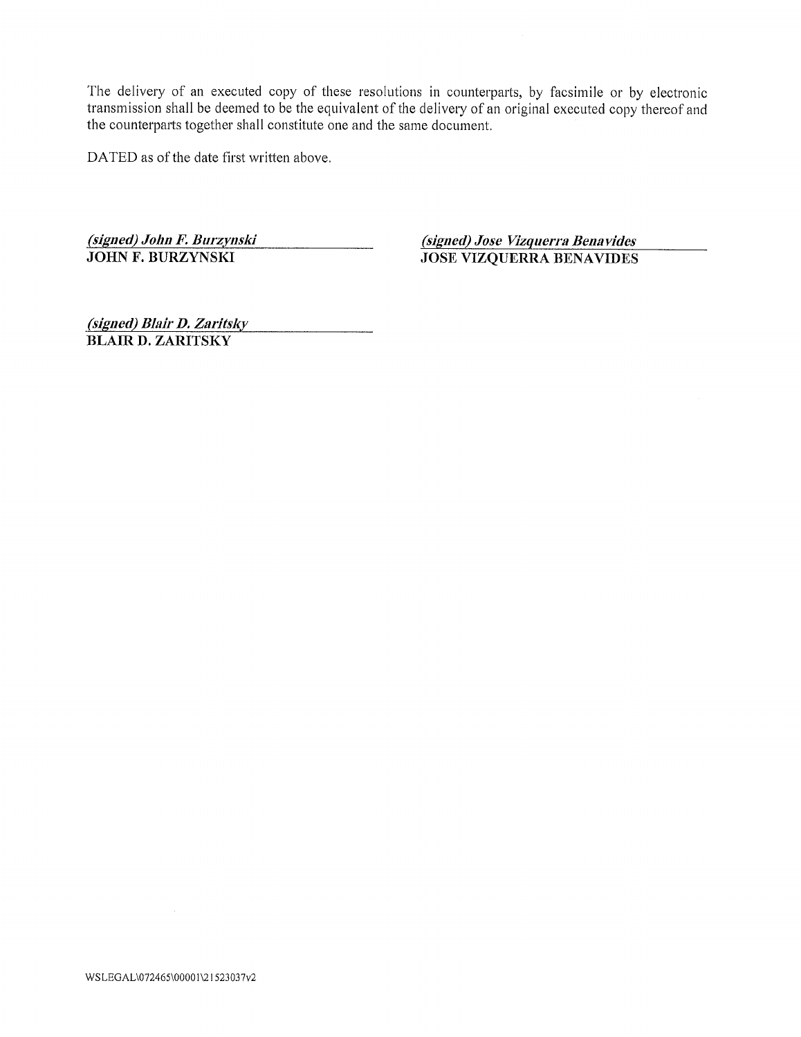DATED as of the date first written above,

(signed) John F. Burzynski<br>JOHN F. BURZYNSKI<br>JOSE VIZOUERRA BENAVIDES

JOSE VIZQUERRA BENAVIDES

(Signed) Blair D.Znritskv BLAIR D. ZARITSKY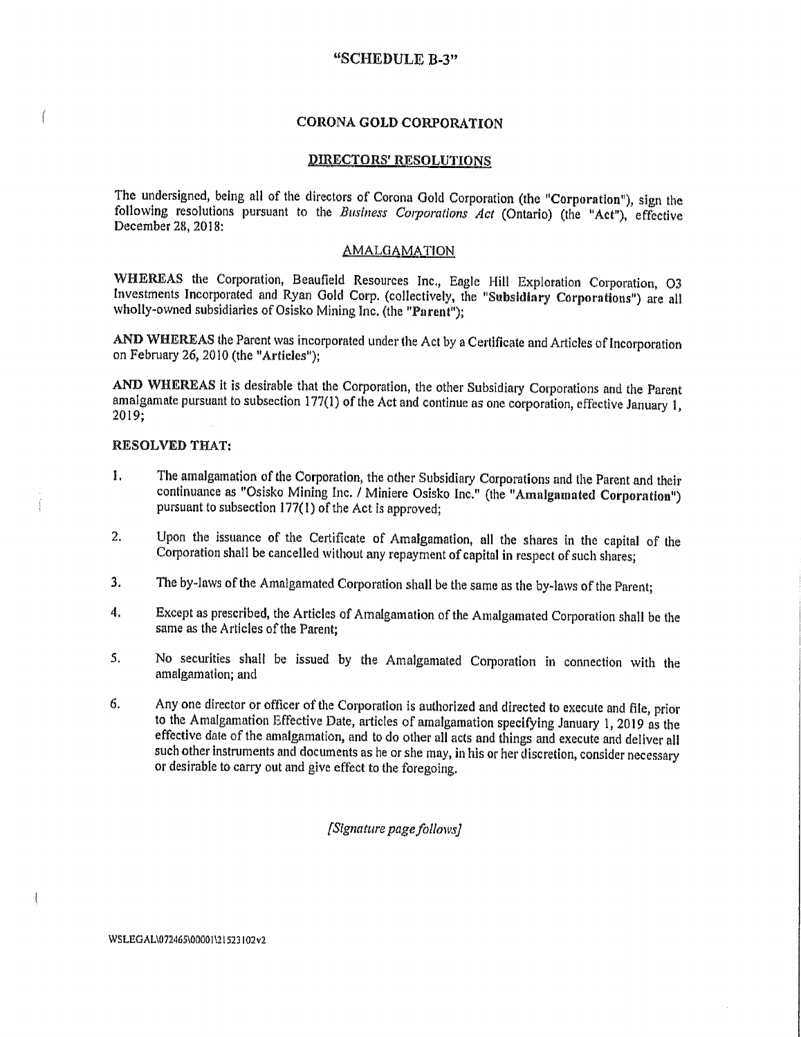### "SCHEDULE B-3"

### CORONA COLD CORPORATION

### DIRECTORS' RESOLUTIONS

<sup>T</sup>he undersigned, being all of the directors of Corona Gold Corporation (the "Corporation"), sign the following resolutions pursuant to the Business Corporations Act (Ontario) (the "Act"), effective December 28, 2018:

### AMALGAMATION

WHEREAS the Corporation, Beaufield Resources Inc., Eagle Hill Exploration Corporation, O3 Investments Incorporated and Ryan Gold Corp. (collectively, the "Subsidiary Corporations") are all <sup>w</sup>holly-owned subsidiaries of Osisko Mining Inc. (the "Parent");

AND WHEREAS the Parent was incorporated under the Act by a Certificate and Articles of Incorporation on February 26, 2010 (the "Articles");

<sup>A</sup>ND WHEREAS it is desirable that the Corporation, the other Subsidiary Corporations and the Parent <sup>a</sup>malgamate pursuant to subsection 177(1) of the Act and continue as one corporation, effective January 1, 2019;

#### RESOLVED THAT:

- 1. The amalgamation of the Corporation, the other Subsidiary Corporations and the Parent and their continuance as "Osisko Mining Inc. / Miniere Osisko Inc." (the "Amalgamated Corporation") <sup>p</sup>ursuant to subsection 177(1) of the Act is approved;
- Upon the issuance of the Certificate of Amalgamation, all the shares in the capital of the  $\mathbf{2}$ Corporation shall be cancelled without any repayment of capital in respect of such shares;
- <sup>3</sup>. The by-laws of the Amalgamated Corporation shall be the car as the by-laws of the Parent,
- 4, <sup>E</sup>xcept as prescribed, the Articles of Amalgamation of the Amalgamated Corporation shall be the <sup>s</sup>ame as the Articles of the Parent;
- <sup>N</sup>o securities shall be issued by the Amalgamated Corporation hi connection with the 5. <sup>a</sup>malgamation; and
- 6. Any one director or officer of the Corporation is authorized and directed to execute and file, prior <sup>t</sup>o the Amalgamation Effective Date, articles of amalgamation specifying January 1, 2019 as the effective date of the amalgamation, and to do other all acts and things and execute and deliver all such other instruments and documents as he or she may, in his or her discretion, consider necessary or desirable to carry out and give effect to the foregoing.

#### [Signature page follows]

 $\frac{1}{2}$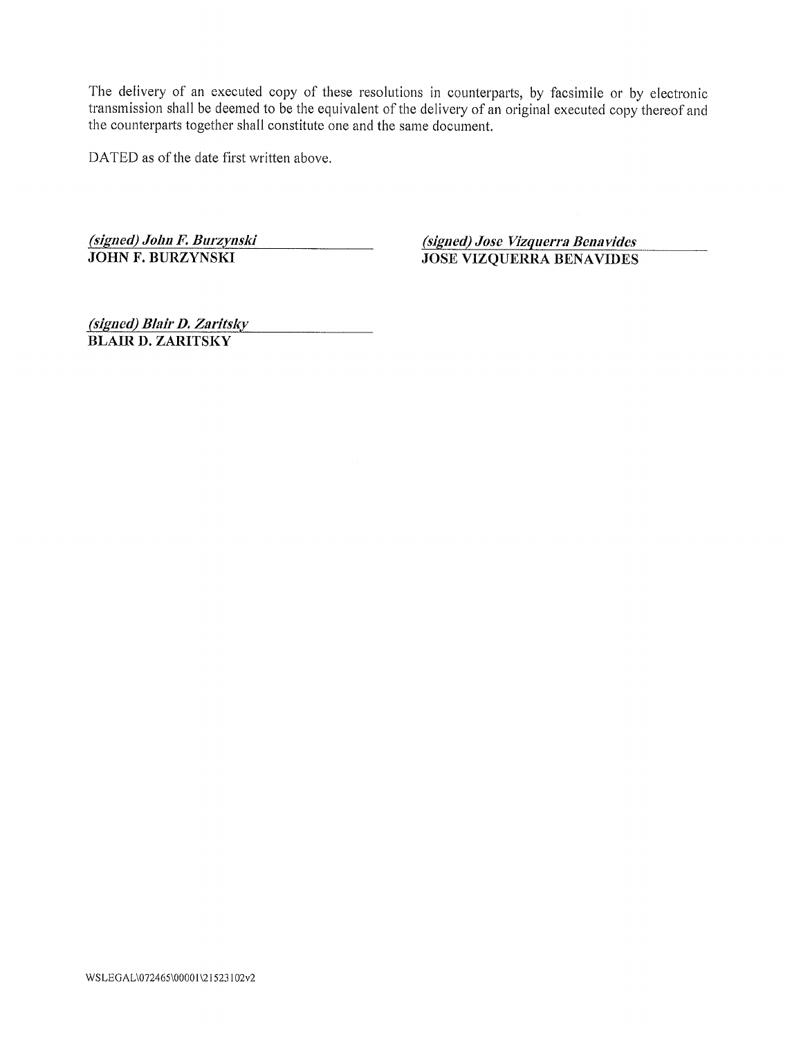DATED as of the date first written above.

(signed) John F. Burzynski<br>JOHN F. BURZYNSKI JOSE VIZOUERRA BENAVIDES

JOSE VIZQUERRA BENAVIDES

(signed) Blair D. Zaritsky BLAIR 1). ZARITSKY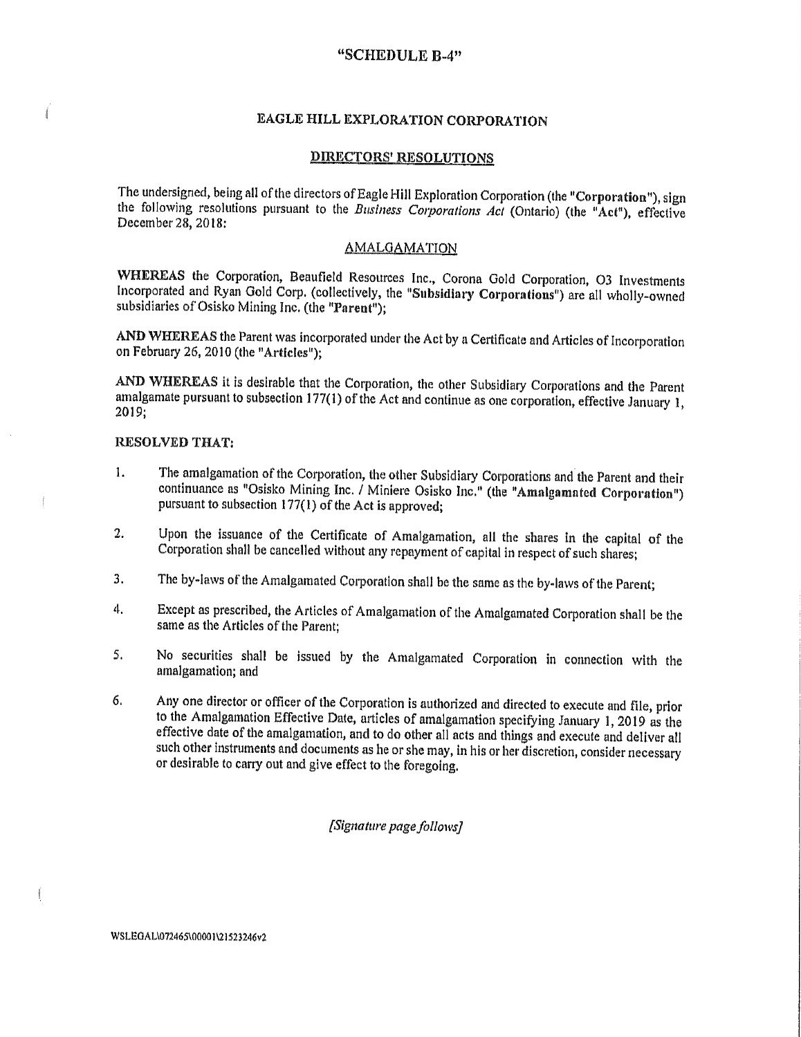# "SCHEDULE B-4"

# EAGLE HILL EXPLORATION CORPORATION

### DIRECTORS' RESOLUTIONS

<sup>T</sup>he undersigned, being all of the directors of Eagle Hill Exploration Corporation (the "Corporation"), sign the following resolutions pursuant to the Business Corporations Act (Ontario) (the "Act"), effective December 28, 2018:

# **AMALGAMATION**

<sup>W</sup>HEREAS the Corporation, Beaufield Resources Inc., Corona Cold Corporation, 03 Investments <sup>I</sup> ncorporated and Ryan Gold Corp. (collectively, the "Subsidiary Corporations") are all wholly-owned <sup>s</sup>ubsidiaries of Osisko Mining Inc. (the 'Parent");

<sup>A</sup>ND WHEREAS the Parent was incorporated under the Act by a Certificate and Articles of incorporation on February 26, 2010 (the "Articles");

<sup>A</sup>ND WHEREAS it is desirable that the Corporation, the other Subsidiary Corporations and the Parent <sup>a</sup>malgamate pursuant to subsection 177(l) of the Act and continue as one corporation, effective January 1, 2019;

### RESOLVED THAT:

Í

- 1. The amalgamation of the Corporation, the other Subsidiary Corporations and the Parent and their <sup>c</sup>ontinuance as "Osisko Mining Inc. / Miniere Osisko Inc." (the "Amalgamated Corporation") pursuant to subsection  $177(1)$  of the Act is approved;
- <sup>U</sup>pon the issuance of the Certificate of Amalgamation, all thc shares in the capital of the  $2.$ <sup>C</sup>orporation shall be cancelled without any repayment of capital in respect of such shares;
- 3. The by-laws of the Amalgamated Corporation shall be the same as the by-laws of the Parent;
- <sup>E</sup>xcept as prescribed, the Articles of Amalgamation of the Amalgamated Corporation shall be the  $\ddot{4}$ . <sup>s</sup>ame as the Articles of the Parent;
- <sup>5</sup>. No securities shall be issued by the Amalgamated Corporation in connection with the <sup>a</sup>malgamation; and
- <sup>6</sup>. Any one director or officer of the Corporation is authorized and directed to execute and file, prior to the Amalgamation Effective Date, articles of amalgamation specifying January 1, 2019 as the <sup>e</sup>ffective date of the amalgamation, and to do other all acts and things and execute and deliver all such other instruments and documents as he or she may, in his or her discretion, consider necessary <sup>o</sup>r desirable to carry out and give effect to the foregoing.

[Signature page follows/

WSLEGAL\072465\00001\21523246v2

 $\overline{1}$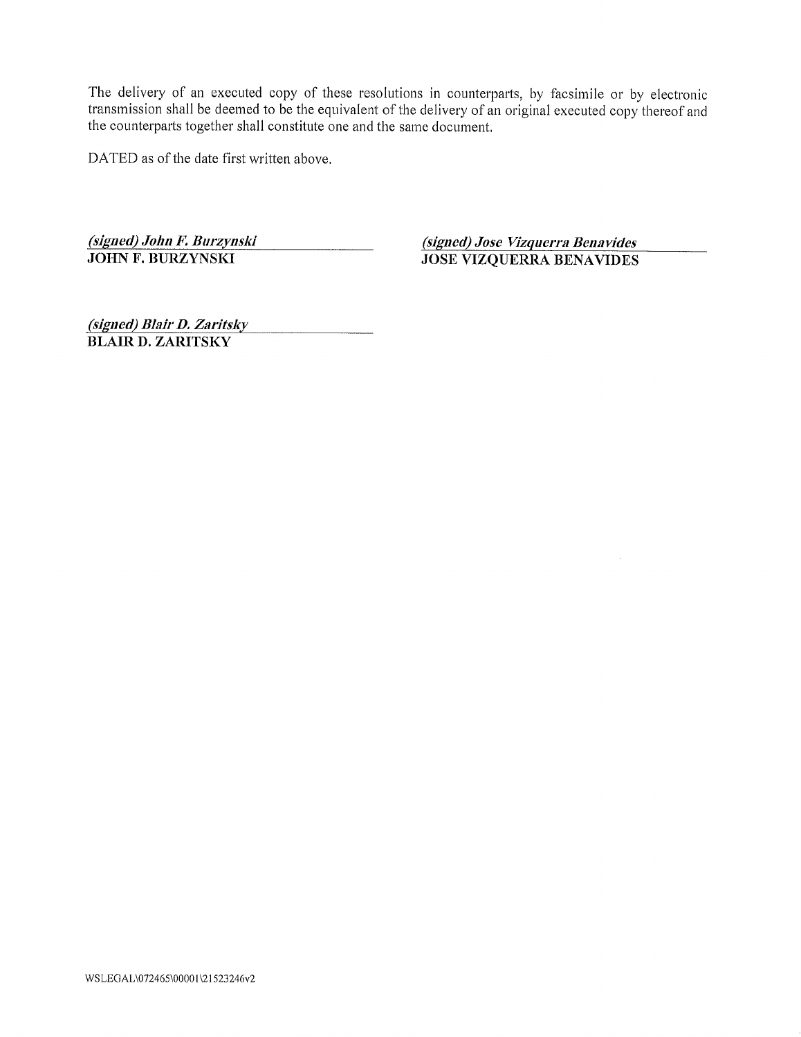DATED as of the date first written above.

(signed) John F. Burzynski (signed) Jose Vizquerra Benavides<br>JOHN F. BURZYNSKI JOSE VIZOUERRA BENAVIDES JOSE VIZQUERRA BENAVIDES

(signed) Blair D. Zaritsky BLAIR 1). ZARITSKY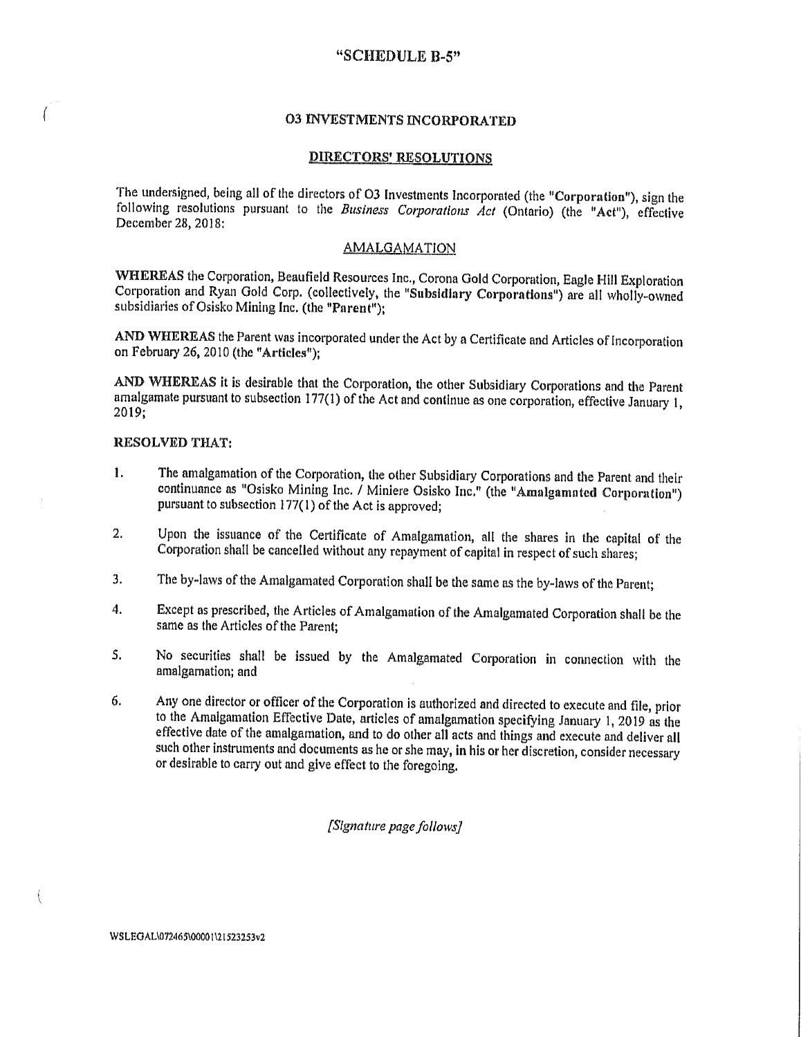### "SCHEDULE B-5"

# **03 INVESTMENTS INCORPORATED**

#### **DIRECTORS' RESOLUTIONS**

The undersigned, being all of the directors of O3 Investments Incorporated (the "Corporation"), sign the following resolutions pursuant to the Business Corporations Act (Ontario) (the "Act"), effective December 28, 2018:

## **AMALGAMATION**

WHEREAS the Corporation, Beaufield Resources Inc., Corona Gold Corporation, Eagle Hill Exploration Corporation and Ryan Gold Corp. (collectively, the "Subsidiary Corporations") are all wholly-owned subsidiaries of Osisko Mining Inc. (the "Parent"):

AND WHEREAS the Parent was incorporated under the Act by a Certificate and Articles of Incorporation on February 26, 2010 (the "Articles"):

AND WHEREAS it is desirable that the Corporation, the other Subsidiary Corporations and the Parent amalgamate pursuant to subsection 177(1) of the Act and continue as one corporation, effective January 1,  $2019;$ 

### RESOLVED THAT:

- The amalgamation of the Corporation, the other Subsidiary Corporations and the Parent and their 1. continuance as "Osisko Mining Inc. / Miniere Osisko Inc." (the "Amalgamated Corporation") pursuant to subsection 177(1) of the Act is approved;
- Upon the issuance of the Certificate of Amalgamation, all the shares in the capital of the 2. Corporation shall be cancelled without any repayment of capital in respect of such shares;
- 3. The by-laws of the Amalgamated Corporation shall be the same as the by-laws of the Parent;
- Except as prescribed, the Articles of Amalgamation of the Amalgamated Corporation shall be the 4. same as the Articles of the Parent:
- No securities shall be issued by the Amalgamated Corporation in connection with the  $S<sub>1</sub>$ amalgamation; and
- Any one director or officer of the Corporation is authorized and directed to execute and file, prior 6. to the Amalgamation Effective Date, articles of amalgamation specifying January 1, 2019 as the effective date of the amalgamation, and to do other all acts and things and execute and deliver all such other instruments and documents as he or she may, in his or her discretion, consider necessary or desirable to carry out and give effect to the foregoing.

[Signature page follows]

WSLEGAL\072465\00001\21523253v2

 $\tilde{\mathcal{E}}$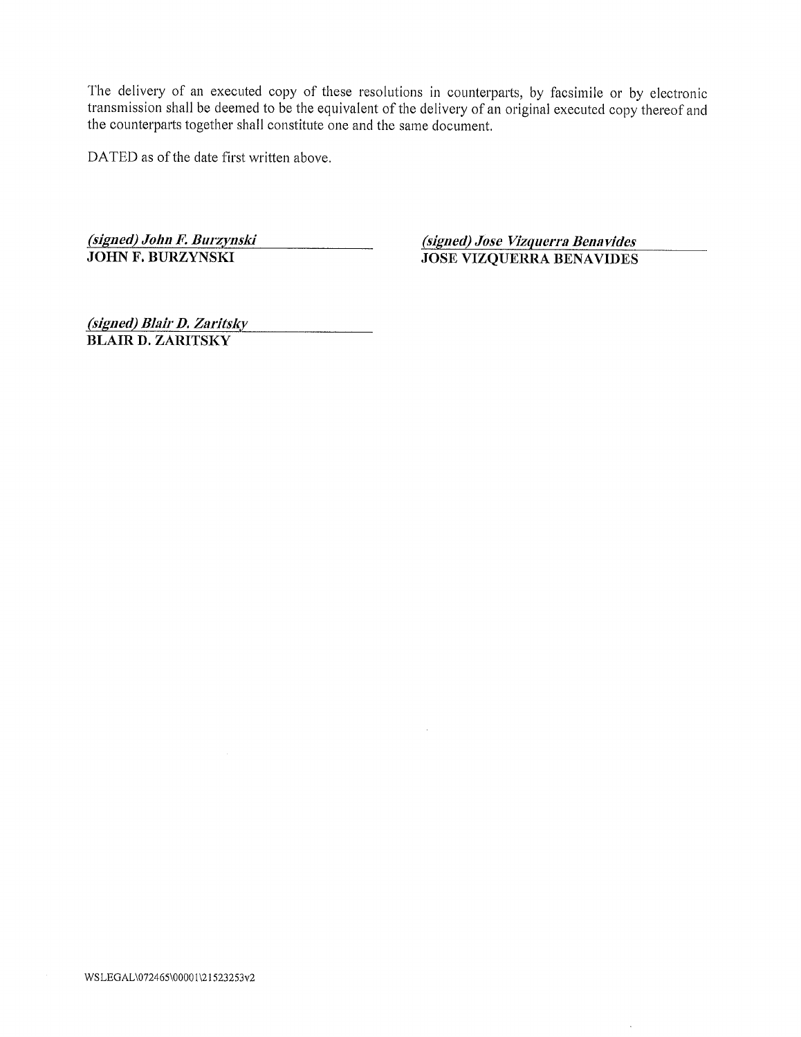DATED as of the date first written above.

(signed) John F. Burzynski (signed) Jose Vizquerra Benavides

JOSE VIZQUERRA BENAVIDES

(signed) Blair D. Zaritsky BLAIR D. ZARITSKY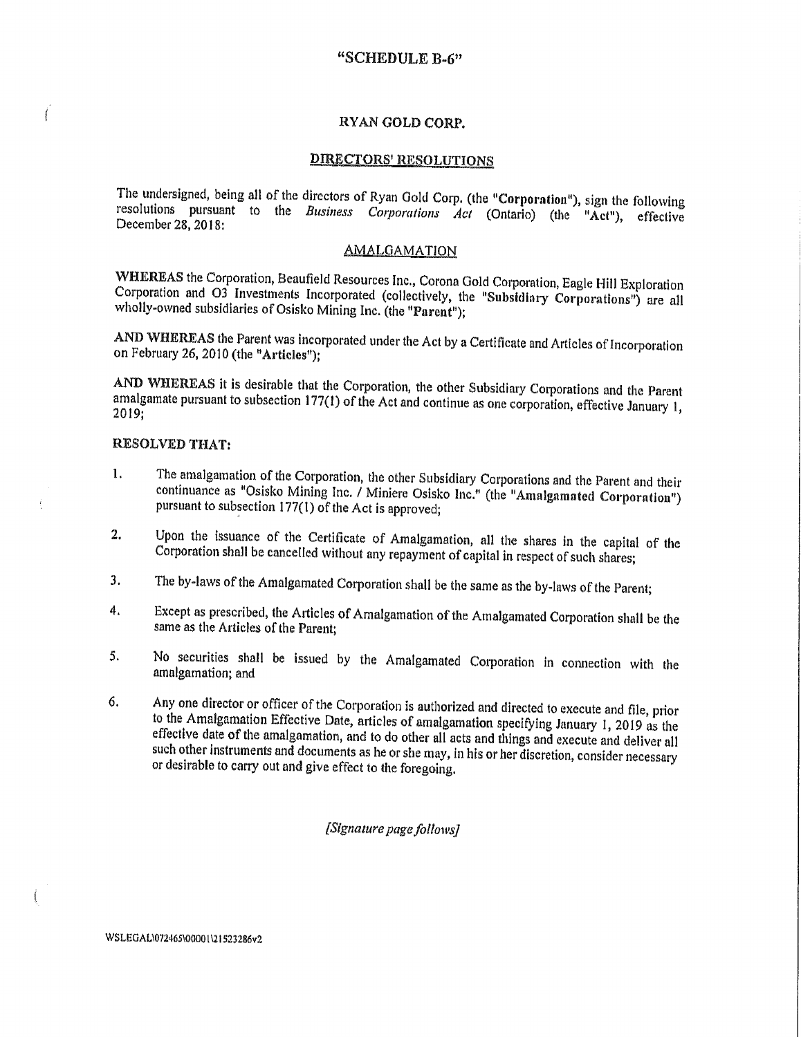# "SCHEDULE B-6"

### RYAN GOLD CORP.

#### R'DIRECTORS' RESOLUTIONS

<sup>T</sup>he undersigned, being all of the directors of Ryan Gold Corp. (the "Corporation"), sign the following resolutions pursuant to the Business Corporations  $Ac$  (Ontario) (the "Act"), effective December 28, 2018:

# AMALGAMATION

WHEREAS the Corporation, Beaufield Resources Inc., Corona Gold Corporation, Eagle Hill Exploration<br>Corporation and O3 Investments Incorporated (collectively, the "Subsidiary Corporations") are all wholly-owned subsidiaries of Osisko Mining Inc. (the "Parent");

<sup>A</sup>ND WHEREAS the Parent was incorporated under the Act by a Certificate and Articles of Incorporation <sup>O</sup>n February 26, 2010 (the "Articles");

<sup>A</sup>ND 'WHEREAS it is desirable that the Corporation, the other Subsidiary Corporations and the Parent <sup>a</sup>malgamate pursuant to subsection 177(1) of the Act and continue as one corporation, effective January 1, <sup>2</sup>019;

#### RESOLVED THAT:

 $\overline{1}$ 

- The amalgamation of the Corporation, the other Subsidiary Corporations and the Parent and their 1. <sup>c</sup>ontinuance as "Osisko Mining Inc. / Miniere Osisko Inc." (the "Amalgamated Corporation") <sup>p</sup>ursuant to subsection 177(1) of the Act is approved;
- <sup>2</sup>. Upon the issuance of the Certificate of Amalgamation, all the shares in the capital of the <sup>C</sup>orporation shall be cancelled without any repayment of capital in respect of such shares;
- 3. The by-laws of the Amalgamated Corporation shall be the same as the by-laws of the Parent;
- <sup>4</sup>. Except as prescribed, the Articles of Amalgamation of the Amalgamated Corporation shall be the <sup>s</sup>ame as the Articles of the Parent;
- <sup>N</sup>o securities shall be issued by the Amalgamated Corporation in connection with the 5. <sup>a</sup>malgamation; and
- <sup>6</sup>. Any one director or officer of the Corporation is authorized and directed to execute and file, prior <sup>t</sup>o the Amalgamation Effective Date, articles of amalgamation specifying January 1, 2019 as the <sup>e</sup>ffective date of the amalgamation, and to do other all acts and things and execute and deliver all <sup>s</sup>uch other instruments and documents as he or she may, in his or her discretion, consider necessary <sup>o</sup>r desirable to carry out and give effect to the foregoing.

#### [Signature page follows]

WSLEGAL\072465\00001\21523286v2

ŧ